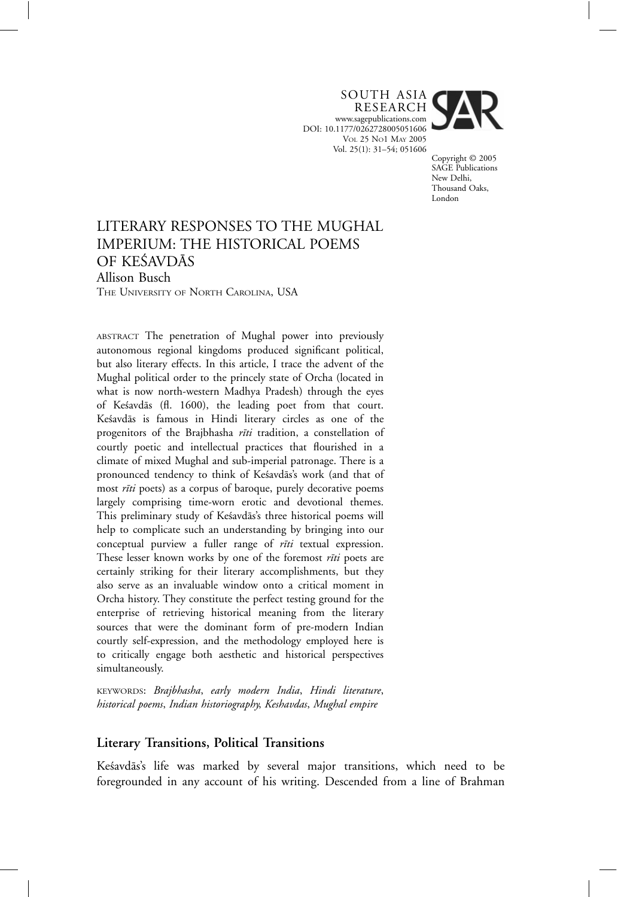SOUTH ASIA RESEARCH www.sagepublications.com DOI: 10.1177/0262728005051606 VOL 25 NO1 MAY 2005 Vol. 25(1): 31–54; 051606



Copyright © 2005 SAGE Publications New Delhi, Thousand Oaks, London

# LITERARY RESPONSES TO THE MUGHAL IMPERIUM: THE HISTORICAL POEMS OF KEŚAVDĀS Allison Busch THE UNIVERSITY OF NORTH CAROLINA, USA

ABSTRACT The penetration of Mughal power into previously autonomous regional kingdoms produced significant political, but also literary effects. In this article, I trace the advent of the Mughal political order to the princely state of Orcha (located in what is now north-western Madhya Pradesh) through the eyes of Keśavdās (fl. 1600), the leading poet from that court. Keśavdās is famous in Hindi literary circles as one of the progenitors of the Brajbhasha *rīti* tradition, a constellation of courtly poetic and intellectual practices that flourished in a climate of mixed Mughal and sub-imperial patronage. There is a pronounced tendency to think of Kesavdas's work (and that of most *rīti* poets) as a corpus of baroque, purely decorative poems largely comprising time-worn erotic and devotional themes. This preliminary study of Kesavdas's three historical poems will help to complicate such an understanding by bringing into our conceptual purview a fuller range of *rīti* textual expression. These lesser known works by one of the foremost *rīti* poets are certainly striking for their literary accomplishments, but they also serve as an invaluable window onto a critical moment in Orcha history. They constitute the perfect testing ground for the enterprise of retrieving historical meaning from the literary sources that were the dominant form of pre-modern Indian courtly self-expression, and the methodology employed here is to critically engage both aesthetic and historical perspectives simultaneously.

KEYWORDS: *Brajbhasha*, *early modern India*, *Hindi literature*, *historical poems*, *Indian historiography*, *Keshavdas*, *Mughal empire*

# **Literary Transitions, Political Transitions**

Keśavdās's life was marked by several major transitions, which need to be foregrounded in any account of his writing. Descended from a line of Brahman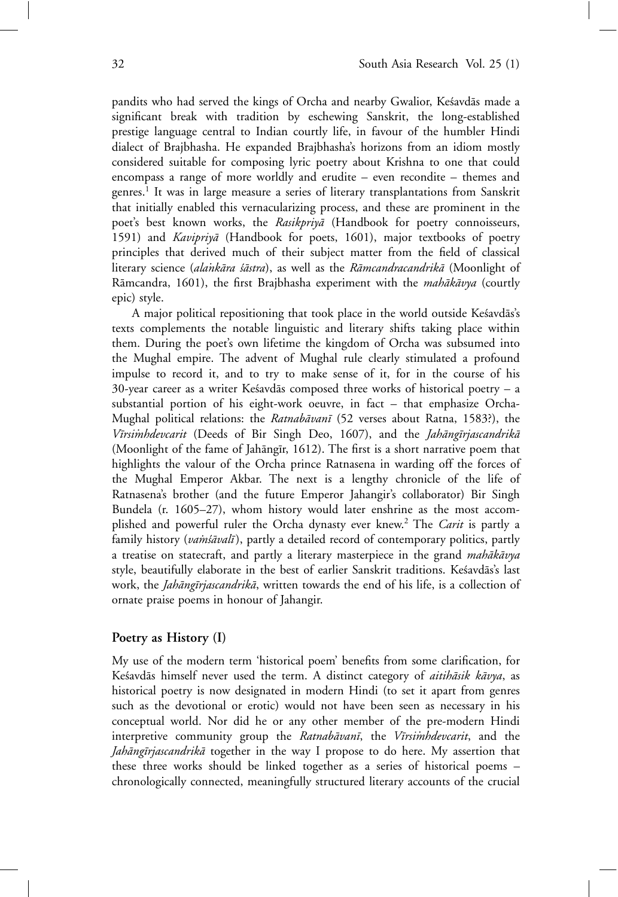pandits who had served the kings of Orcha and nearby Gwalior, Kesavdas made a significant break with tradition by eschewing Sanskrit, the long-established prestige language central to Indian courtly life, in favour of the humbler Hindi dialect of Brajbhasha. He expanded Brajbhasha's horizons from an idiom mostly considered suitable for composing lyric poetry about Krishna to one that could encompass a range of more worldly and erudite – even recondite – themes and genres.<sup>1</sup> It was in large measure a series of literary transplantations from Sanskrit that initially enabled this vernacularizing process, and these are prominent in the poet's best known works, the *Rasikpriya*<sup></sup> (Handbook for poetry connoisseurs, 1591) and *Kavipriyā* (Handbook for poets, 1601), major textbooks of poetry principles that derived much of their subject matter from the field of classical literary science (*alankāra śāstra*), as well as the *Rāmcandracandrikā* (Moonlight of Rāmcandra, 1601), the first Brajbhasha experiment with the *mahākāvya* (courtly epic) style.

A major political repositioning that took place in the world outside Kesavdas's texts complements the notable linguistic and literary shifts taking place within them. During the poet's own lifetime the kingdom of Orcha was subsumed into the Mughal empire. The advent of Mughal rule clearly stimulated a profound impulse to record it, and to try to make sense of it, for in the course of his 30-year career as a writer Kesavdas composed three works of historical poetry  $-$  a substantial portion of his eight-work oeuvre, in fact – that emphasize Orcha-Mughal political relations: the *Ratnabāvanī* (52 verses about Ratna, 1583?), the *Magnar political relations* are *rammediated.* (52 verses about radias, 15651), the *Virsimhdevcarit* (Deeds of Bir Singh Deo, 1607), and the *Jahāngīrjascandrikā* (Moonlight of the fame of Jahāngīr,  $1612$ ). The first is a short narrative poem that highlights the valour of the Orcha prince Ratnasena in warding off the forces of the Mughal Emperor Akbar. The next is a lengthy chronicle of the life of Ratnasena's brother (and the future Emperor Jahangir's collaborator) Bir Singh Bundela (r. 1605–27), whom history would later enshrine as the most accomplished and powerful ruler the Orcha dynasty ever knew. <sup>2</sup> The *Carit* is partly a family history (*vamšāvalī*), partly a detailed record of contemporary politics, partly a a treatise on statecraft, and partly a literary masterpiece in the grand *mahakavya* style, beautifully elaborate in the best of earlier Sanskrit traditions. Kesavdas's last work, the *Jahāngīrjascandrikā*, written towards the end of his life, is a collection of ornate praise poems in honour of Jahangir.

### **Poetry as History (I)**

My use of the modern term 'historical poem' benefits from some clarification, for Kes'avdas himself never used the term. A distinct category of *aitihasik kavya*, as historical poetry is now designated in modern Hindi (to set it apart from genres such as the devotional or erotic) would not have been seen as necessary in his conceptual world. Nor did he or any other member of the pre-modern Hindi interpretive community group the *Ratnabāvanī*, the *Vīrsimhdevcarit*, and the *Jahāngīrjascandrikā* together in the way I propose to do here. My assertion that these three works should be linked together as a series of historical poems – chronologically connected, meaningfully structured literary accounts of the crucial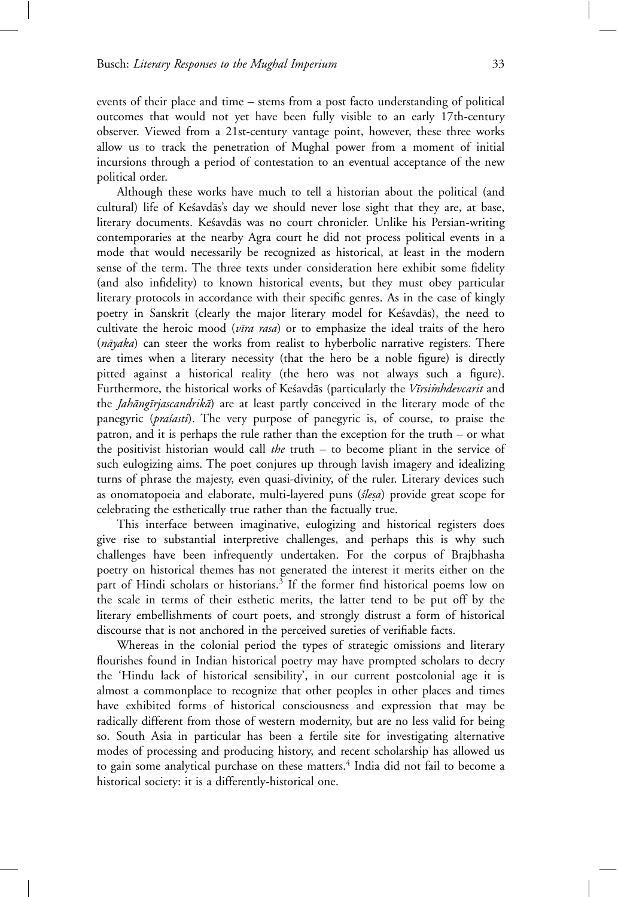events of their place and time – stems from a post facto understanding of political outcomes that would not yet have been fully visible to an early 17th-century observer. Viewed from a 21st-century vantage point, however, these three works allow us to track the penetration of Mughal power from a moment of initial incursions through a period of contestation to an eventual acceptance of the new political order.

Although these works have much to tell a historian about the political (and cultural) life of Kesavdas's day we should never lose sight that they are, at base, literary documents. Kesavdās was no court chronicler. Unlike his Persian-writing contemporaries at the nearby Agra court he did not process political events in a mode that would necessarily be recognized as historical, at least in the modern sense of the term. The three texts under consideration here exhibit some fidelity (and also infidelity) to known historical events, but they must obey particular literary protocols in accordance with their specific genres. As in the case of kingly poetry in Sanskrit (clearly the major literary model for Kesavdas), the need to cultivate the heroic mood (*vīra rasa*) or to emphasize the ideal traits of the hero (*nāyaka*) can steer the works from realist to hyberbolic narrative registers. There are times when a literary necessity (that the hero be a noble figure) is directly pitted against a historical reality (the hero was not always such a figure). Furthermore, the historical works of Kes<sup>*avdas* (particularly the *Vīrsimhdevcarit* and *Furthermore*, the historical works of Kes<sup>*avdas* (particularly the *Vīrsimhdevcarit* and</sup></sup> the *Jahāngīrjascandrikā*) are at least partly conceived in the literary mode of the panegyric (*pra´sasti*). The very purpose of panegyric is, of course, to praise the patron, and it is perhaps the rule rather than the exception for the truth – or what the positivist historian would call *the* truth – to become pliant in the service of such eulogizing aims. The poet conjures up through lavish imagery and idealizing turns of phrase the majesty, even quasi-divinity, of the ruler. Literary devices such as onomatopoeia and elaborate, multi-layered puns (*ślesa*) provide great scope for celebrating the esthetically true rather than the factually true.

This interface between imaginative, eulogizing and historical registers does give rise to substantial interpretive challenges, and perhaps this is why such challenges have been infrequently undertaken. For the corpus of Brajbhasha poetry on historical themes has not generated the interest it merits either on the part of Hindi scholars or historians.<sup>3</sup> If the former find historical poems low on the scale in terms of their esthetic merits, the latter tend to be put off by the literary embellishments of court poets, and strongly distrust a form of historical discourse that is not anchored in the perceived sureties of verifiable facts.

Whereas in the colonial period the types of strategic omissions and literary flourishes found in Indian historical poetry may have prompted scholars to decry the 'Hindu lack of historical sensibility', in our current postcolonial age it is almost a commonplace to recognize that other peoples in other places and times have exhibited forms of historical consciousness and expression that may be radically different from those of western modernity, but are no less valid for being so. South Asia in particular has been a fertile site for investigating alternative modes of processing and producing history, and recent scholarship has allowed us to gain some analytical purchase on these matters.<sup>4</sup> India did not fail to become a historical society: it is a differently-historical one.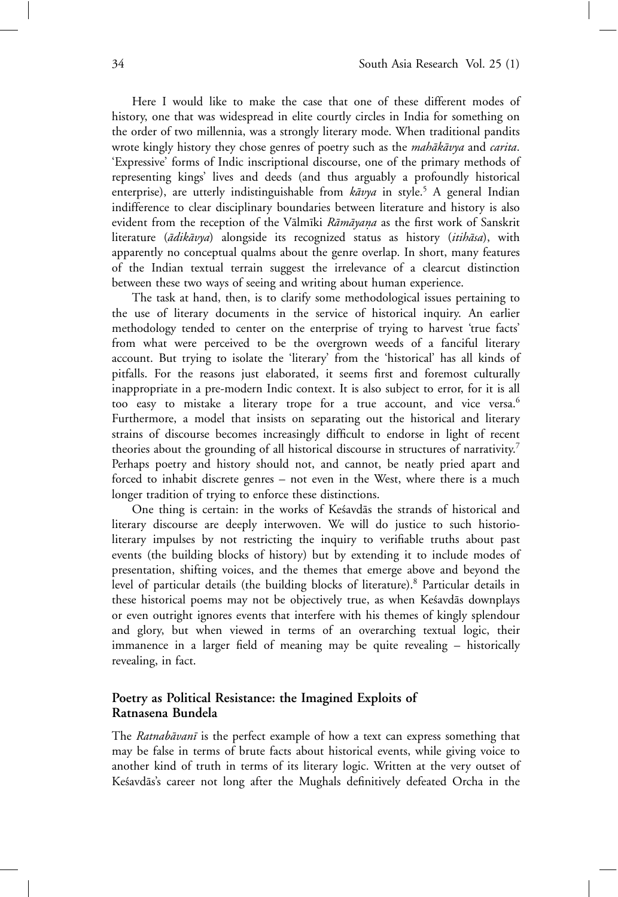Here I would like to make the case that one of these different modes of history, one that was widespread in elite courtly circles in India for something on the order of two millennia, was a strongly literary mode. When traditional pandits wrote kingly history they chose genres of poetry such as the *mahākāvya* and *carita*. 'Expressive' forms of Indic inscriptional discourse, one of the primary methods of representing kings' lives and deeds (and thus arguably a profoundly historical enterprise), are utterly indistinguishable from  $k \bar{a} \nu \nu a$  in style.<sup>5</sup> A general Indian indifference to clear disciplinary boundaries between literature and history is also evident from the reception of the Valmīki *Rāmāyana* as the first work of Sanskrit literature (*ādikāvya*) alongside its recognized status as history (*itihāsa*), with apparently no conceptual qualms about the genre overlap. In short, many features of the Indian textual terrain suggest the irrelevance of a clearcut distinction between these two ways of seeing and writing about human experience.

The task at hand, then, is to clarify some methodological issues pertaining to the use of literary documents in the service of historical inquiry. An earlier methodology tended to center on the enterprise of trying to harvest 'true facts' from what were perceived to be the overgrown weeds of a fanciful literary account. But trying to isolate the 'literary' from the 'historical' has all kinds of pitfalls. For the reasons just elaborated, it seems first and foremost culturally inappropriate in a pre-modern Indic context. It is also subject to error, for it is all too easy to mistake a literary trope for a true account, and vice versa.<sup>6</sup> Furthermore, a model that insists on separating out the historical and literary strains of discourse becomes increasingly difficult to endorse in light of recent theories about the grounding of all historical discourse in structures of narrativity.<sup>7</sup> Perhaps poetry and history should not, and cannot, be neatly pried apart and forced to inhabit discrete genres – not even in the West, where there is a much longer tradition of trying to enforce these distinctions.

One thing is certain: in the works of Kesavdas the strands of historical and literary discourse are deeply interwoven. We will do justice to such historioliterary impulses by not restricting the inquiry to verifiable truths about past events (the building blocks of history) but by extending it to include modes of presentation, shifting voices, and the themes that emerge above and beyond the level of particular details (the building blocks of literature).<sup>8</sup> Particular details in these historical poems may not be objectively true, as when Kesavdas downplays or even outright ignores events that interfere with his themes of kingly splendour and glory, but when viewed in terms of an overarching textual logic, their immanence in a larger field of meaning may be quite revealing – historically revealing, in fact.

# **Poetry as Political Resistance: the Imagined Exploits of Ratnasena Bundela**

The *Ratnabāvanī* is the perfect example of how a text can express something that may be false in terms of brute facts about historical events, while giving voice to another kind of truth in terms of its literary logic. Written at the very outset of Ke'savdās's career not long after the Mughals definitively defeated Orcha in the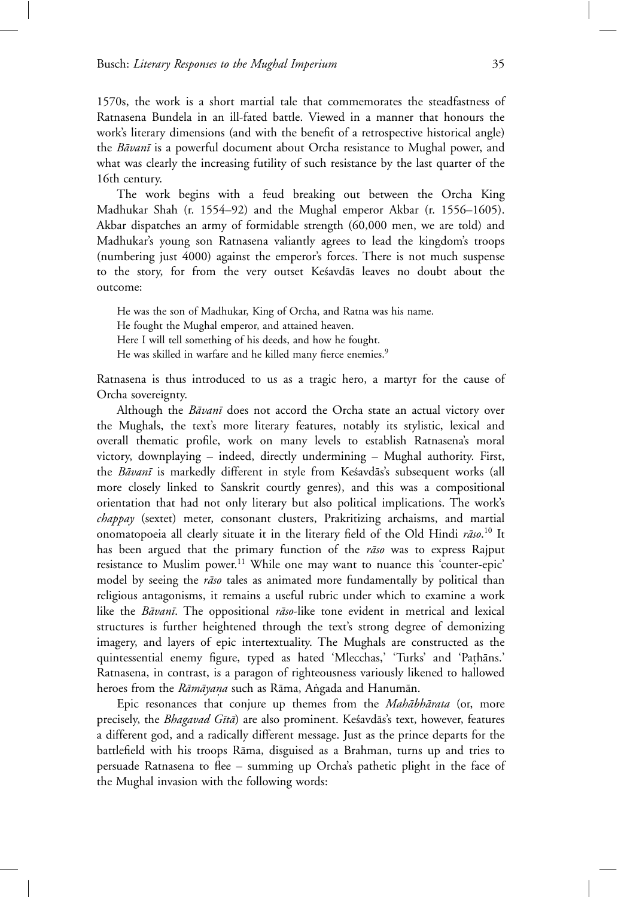1570s, the work is a short martial tale that commemorates the steadfastness of Ratnasena Bundela in an ill-fated battle. Viewed in a manner that honours the work's literary dimensions (and with the benefit of a retrospective historical angle) the *Bāvanī* is a powerful document about Orcha resistance to Mughal power, and what was clearly the increasing futility of such resistance by the last quarter of the 16th century.

The work begins with a feud breaking out between the Orcha King Madhukar Shah (r. 1554–92) and the Mughal emperor Akbar (r. 1556–1605). Akbar dispatches an army of formidable strength (60,000 men, we are told) and Madhukar's young son Ratnasena valiantly agrees to lead the kingdom's troops (numbering just 4000) against the emperor's forces. There is not much suspense to the story, for from the very outset Kesavdas leaves no doubt about the outcome:

He was the son of Madhukar, King of Orcha, and Ratna was his name. He fought the Mughal emperor, and attained heaven. Here I will tell something of his deeds, and how he fought. He was skilled in warfare and he killed many fierce enemies.<sup>9</sup>

Ratnasena is thus introduced to us as a tragic hero, a martyr for the cause of Orcha sovereignty.

Although the *Bāvanī* does not accord the Orcha state an actual victory over the Mughals, the text's more literary features, notably its stylistic, lexical and overall thematic profile, work on many levels to establish Ratnasena's moral victory, downplaying – indeed, directly undermining – Mughal authority. First, the *Bāvanī* is markedly different in style from Kesavdās's subsequent works (all more closely linked to Sanskrit courtly genres), and this was a compositional orientation that had not only literary but also political implications. The work's *chappay* (sextet) meter, consonant clusters, Prakritizing archaisms, and martial onomatopoeia all clearly situate it in the literary field of the Old Hindi rāso.<sup>10</sup> It has been argued that the primary function of the *raso* was to express Rajput resistance to Muslim power.<sup>11</sup> While one may want to nuance this 'counter-epic' model by seeing the *rāso* tales as animated more fundamentally by political than religious antagonisms, it remains a useful rubric under which to examine a work like the *Bāvanī*. The oppositional *rāso*-like tone evident in metrical and lexical structures is further heightened through the text's strong degree of demonizing imagery, and layers of epic intertextuality. The Mughals are constructed as the quintessential enemy figure, typed as hated 'Mlecchas,' 'Turks' and 'Pathans.' Ratnasena, in contrast, is a paragon of righteousness variously likened to hallowed heroes from the *Ram¯ ayan ¯ . <sup>a</sup>* such as Rama, An ¯ . gada and Hanuman. ¯

Epic resonances that conjure up themes from the *Mahābhārata* (or, more precisely, the *Bhagavad Gītā*) are also prominent. Keśavdās's text, however, features a different god, and a radically different message. Just as the prince departs for the battlefield with his troops Rāma, disguised as a Brahman, turns up and tries to persuade Ratnasena to flee – summing up Orcha's pathetic plight in the face of the Mughal invasion with the following words: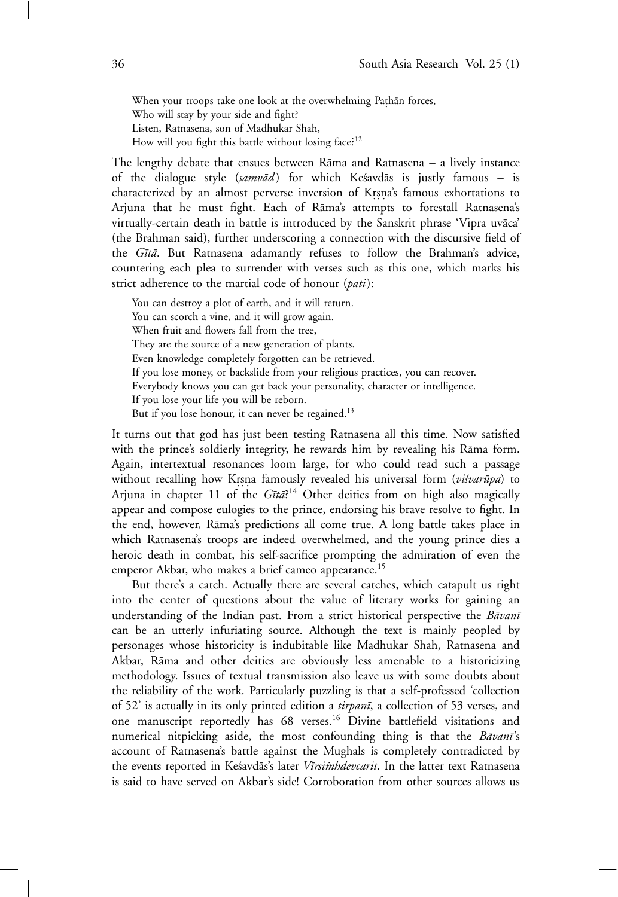When your troops take one look at the overwhelming Pathān forces, Who will stay by your side and fight? Listen, Ratnasena, son of Madhukar Shah, How will you fight this battle without losing face?<sup>12</sup>

The lengthy debate that ensues between Rama and Ratnasena  $-$  a lively instance of the dialogue style (*samvad*) for which Kes'avdas is justly famous – is characterized by an almost perverse inversion of Krsna's famous exhortations to Arjuna that he must fight. Each of Rāma's attempts to forestall Ratnasena's virtually-certain death in battle is introduced by the Sanskrit phrase 'Vipra uvāca' (the Brahman said), further underscoring a connection with the discursive field of the *Gītā*. But Ratnasena adamantly refuses to follow the Brahman's advice, countering each plea to surrender with verses such as this one, which marks his strict adherence to the martial code of honour (*pati*):

You can destroy a plot of earth, and it will return. You can scorch a vine, and it will grow again. When fruit and flowers fall from the tree, They are the source of a new generation of plants. Even knowledge completely forgotten can be retrieved. If you lose money, or backslide from your religious practices, you can recover. Everybody knows you can get back your personality, character or intelligence. If you lose your life you will be reborn. But if you lose honour, it can never be regained.<sup>13</sup>

It turns out that god has just been testing Ratnasena all this time. Now satisfied with the prince's soldierly integrity, he rewards him by revealing his Rāma form. Again, intertextual resonances loom large, for who could read such a passage without recalling how Krsna famously revealed his universal form (*viśvarūpa*) to Arjuna in chapter 11 of the *Gītā*?<sup>14</sup> Other deities from on high also magically appear and compose eulogies to the prince, endorsing his brave resolve to fight. In the end, however, Rāma's predictions all come true. A long battle takes place in which Ratnasena's troops are indeed overwhelmed, and the young prince dies a heroic death in combat, his self-sacrifice prompting the admiration of even the emperor Akbar, who makes a brief cameo appearance.<sup>15</sup>

But there's a catch. Actually there are several catches, which catapult us right into the center of questions about the value of literary works for gaining an understanding of the Indian past. From a strict historical perspective the *Bavanī* can be an utterly infuriating source. Although the text is mainly peopled by personages whose historicity is indubitable like Madhukar Shah, Ratnasena and Akbar, Rāma and other deities are obviously less amenable to a historicizing methodology. Issues of textual transmission also leave us with some doubts about the reliability of the work. Particularly puzzling is that a self-professed 'collection of 52' is actually in its only printed edition a *tirpan¯ı*, a collection of 53 verses, and one manuscript reportedly has 68 verses.16 Divine battlefield visitations and numerical nitpicking aside, the most confounding thing is that the *Bāvanī's* account of Ratnasena's battle against the Mughals is completely contradicted by devents reported in Kesavdas's later *Virsimhdevcarit*. In the latter text Ratnasena is said to have served on Akbar's side! Corroboration from other sources allows us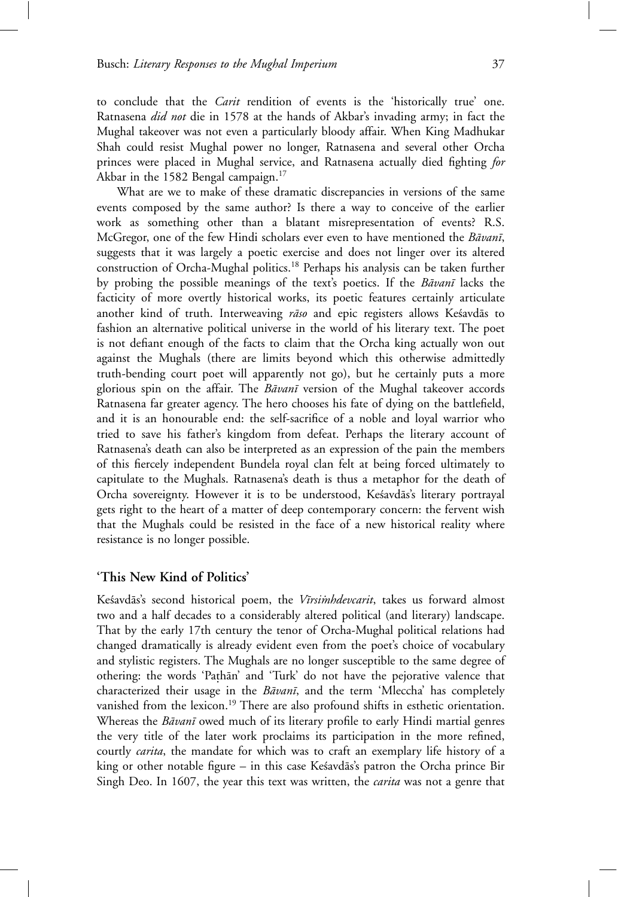to conclude that the *Carit* rendition of events is the 'historically true' one. Ratnasena *did not* die in 1578 at the hands of Akbar's invading army; in fact the Mughal takeover was not even a particularly bloody affair. When King Madhukar Shah could resist Mughal power no longer, Ratnasena and several other Orcha princes were placed in Mughal service, and Ratnasena actually died fighting *for* Akbar in the 1582 Bengal campaign.<sup>17</sup>

What are we to make of these dramatic discrepancies in versions of the same events composed by the same author? Is there a way to conceive of the earlier work as something other than a blatant misrepresentation of events? R.S. McGregor, one of the few Hindi scholars ever even to have mentioned the *Bāvanī*, suggests that it was largely a poetic exercise and does not linger over its altered construction of Orcha-Mughal politics.18 Perhaps his analysis can be taken further by probing the possible meanings of the text's poetics. If the *Bāvanī* lacks the facticity of more overtly historical works, its poetic features certainly articulate another kind of truth. Interweaving *rāso* and epic registers allows Kesavdās to fashion an alternative political universe in the world of his literary text. The poet is not defiant enough of the facts to claim that the Orcha king actually won out against the Mughals (there are limits beyond which this otherwise admittedly truth-bending court poet will apparently not go), but he certainly puts a more glorious spin on the affair. The *Bāvanī* version of the Mughal takeover accords Ratnasena far greater agency. The hero chooses his fate of dying on the battlefield, and it is an honourable end: the self-sacrifice of a noble and loyal warrior who tried to save his father's kingdom from defeat. Perhaps the literary account of Ratnasena's death can also be interpreted as an expression of the pain the members of this fiercely independent Bundela royal clan felt at being forced ultimately to capitulate to the Mughals. Ratnasena's death is thus a metaphor for the death of Orcha sovereignty. However it is to be understood, Ke'savdas's literary portrayal gets right to the heart of a matter of deep contemporary concern: the fervent wish that the Mughals could be resisted in the face of a new historical reality where resistance is no longer possible.

# **'This New Kind of Politics'**

Ke´savdas¯ 's second historical poem, the *V¯ırsim. hdevcarit*, takes us forward almost two and a half decades to a considerably altered political (and literary) landscape. That by the early 17th century the tenor of Orcha-Mughal political relations had changed dramatically is already evident even from the poet's choice of vocabulary and stylistic registers. The Mughals are no longer susceptible to the same degree of othering: the words 'Pathan' and 'Turk' do not have the pejorative valence that characterized their usage in the *Bāvanī*, and the term 'Mleccha' has completely vanished from the lexicon.<sup>19</sup> There are also profound shifts in esthetic orientation. Whereas the *Bāvanī* owed much of its literary profile to early Hindi martial genres the very title of the later work proclaims its participation in the more refined, courtly *carita*, the mandate for which was to craft an exemplary life history of a king or other notable figure – in this case Keśavdās's patron the Orcha prince Bir Singh Deo. In 1607, the year this text was written, the *carita* was not a genre that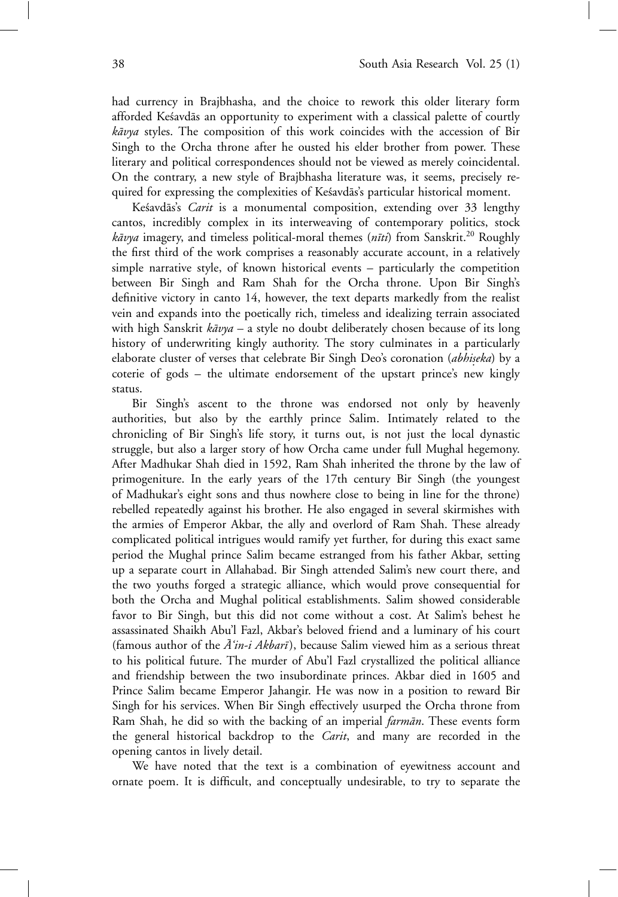had currency in Brajbhasha, and the choice to rework this older literary form afforded Kesavdās an opportunity to experiment with a classical palette of courtly *kāvya* styles. The composition of this work coincides with the accession of Bir Singh to the Orcha throne after he ousted his elder brother from power. These literary and political correspondences should not be viewed as merely coincidental. On the contrary, a new style of Brajbhasha literature was, it seems, precisely required for expressing the complexities of Kesavdas's particular historical moment.

Keśavdās's *Carit* is a monumental composition, extending over 33 lengthy cantos, incredibly complex in its interweaving of contemporary politics, stock *kāvya* imagery, and timeless political-moral themes (nīti) from Sanskrit.<sup>20</sup> Roughly the first third of the work comprises a reasonably accurate account, in a relatively simple narrative style, of known historical events – particularly the competition between Bir Singh and Ram Shah for the Orcha throne. Upon Bir Singh's definitive victory in canto 14, however, the text departs markedly from the realist vein and expands into the poetically rich, timeless and idealizing terrain associated with high Sanskrit *kāvya* – a style no doubt deliberately chosen because of its long history of underwriting kingly authority. The story culminates in a particularly elaborate cluster of verses that celebrate Bir Singh Deo's coronation (*abhiseka*) by a coterie of gods – the ultimate endorsement of the upstart prince's new kingly status.

Bir Singh's ascent to the throne was endorsed not only by heavenly authorities, but also by the earthly prince Salim. Intimately related to the chronicling of Bir Singh's life story, it turns out, is not just the local dynastic struggle, but also a larger story of how Orcha came under full Mughal hegemony. After Madhukar Shah died in 1592, Ram Shah inherited the throne by the law of primogeniture. In the early years of the 17th century Bir Singh (the youngest of Madhukar's eight sons and thus nowhere close to being in line for the throne) rebelled repeatedly against his brother. He also engaged in several skirmishes with the armies of Emperor Akbar, the ally and overlord of Ram Shah. These already complicated political intrigues would ramify yet further, for during this exact same period the Mughal prince Salim became estranged from his father Akbar, setting up a separate court in Allahabad. Bir Singh attended Salim's new court there, and the two youths forged a strategic alliance, which would prove consequential for both the Orcha and Mughal political establishments. Salim showed considerable favor to Bir Singh, but this did not come without a cost. At Salim's behest he assassinated Shaikh Abu'l Fazl, Akbar's beloved friend and a luminary of his court (famous author of the  $\overline{A}$ '*in-i Akbarī*), because Salim viewed him as a serious threat to his political future. The murder of Abu'l Fazl crystallized the political alliance and friendship between the two insubordinate princes. Akbar died in 1605 and Prince Salim became Emperor Jahangir. He was now in a position to reward Bir Singh for his services. When Bir Singh effectively usurped the Orcha throne from Ram Shah, he did so with the backing of an imperial *farmān*. These events form the general historical backdrop to the *Carit*, and many are recorded in the opening cantos in lively detail.

We have noted that the text is a combination of eyewitness account and ornate poem. It is difficult, and conceptually undesirable, to try to separate the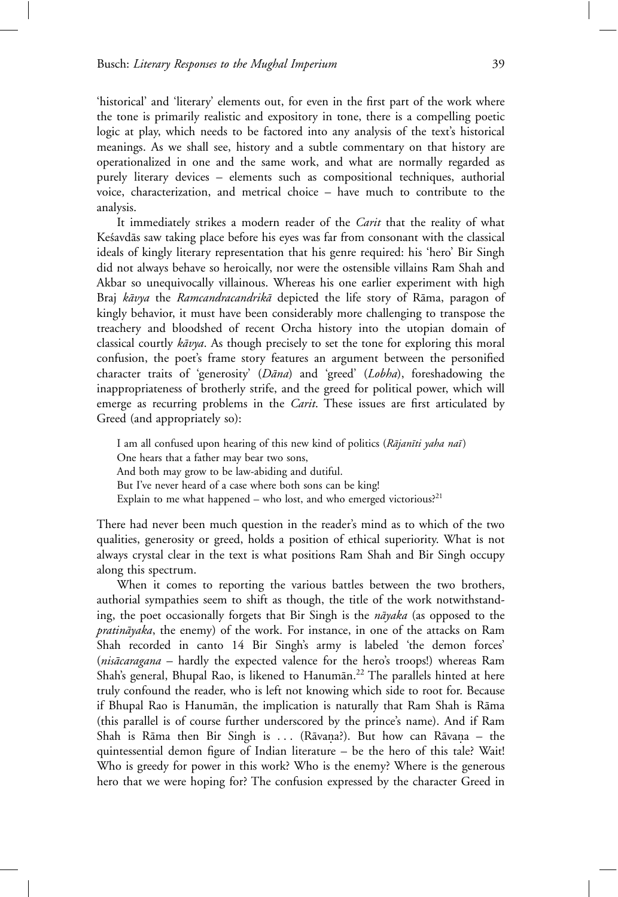'historical' and 'literary' elements out, for even in the first part of the work where the tone is primarily realistic and expository in tone, there is a compelling poetic logic at play, which needs to be factored into any analysis of the text's historical meanings. As we shall see, history and a subtle commentary on that history are operationalized in one and the same work, and what are normally regarded as purely literary devices – elements such as compositional techniques, authorial voice, characterization, and metrical choice – have much to contribute to the analysis.

It immediately strikes a modern reader of the *Carit* that the reality of what Ke'savdās saw taking place before his eyes was far from consonant with the classical ideals of kingly literary representation that his genre required: his 'hero' Bir Singh did not always behave so heroically, nor were the ostensible villains Ram Shah and Akbar so unequivocally villainous. Whereas his one earlier experiment with high Braj *kāvya* the *Ramcandracandrikā* depicted the life story of Rāma, paragon of kingly behavior, it must have been considerably more challenging to transpose the treachery and bloodshed of recent Orcha history into the utopian domain of classical courtly *kāvya*. As though precisely to set the tone for exploring this moral confusion, the poet's frame story features an argument between the personified character traits of 'generosity' (Dāna) and 'greed' (Lobha), foreshadowing the inappropriateness of brotherly strife, and the greed for political power, which will emerge as recurring problems in the *Carit*. These issues are first articulated by Greed (and appropriately so):

I am all confused upon hearing of this new kind of politics (Rājanīti yaha naī) One hears that a father may bear two sons, And both may grow to be law-abiding and dutiful. But I've never heard of a case where both sons can be king! Explain to me what happened – who lost, and who emerged victorious?<sup>21</sup>

There had never been much question in the reader's mind as to which of the two qualities, generosity or greed, holds a position of ethical superiority. What is not always crystal clear in the text is what positions Ram Shah and Bir Singh occupy along this spectrum.

When it comes to reporting the various battles between the two brothers, authorial sympathies seem to shift as though, the title of the work notwithstanding, the poet occasionally forgets that Bir Singh is the *nayaka* (as opposed to the *pratināyaka*, the enemy) of the work. For instance, in one of the attacks on Ram Shah recorded in canto 14 Bir Singh's army is labeled 'the demon forces' (*nisācaragana* – hardly the expected valence for the hero's troops!) whereas Ram Shah's general, Bhupal Rao, is likened to Hanumān.<sup>22</sup> The parallels hinted at here truly confound the reader, who is left not knowing which side to root for. Because if Bhupal Rao is Hanumān, the implication is naturally that Ram Shah is Rāma (this parallel is of course further underscored by the prince's name). And if Ram Shah is Rāma then Bir Singh is . . . (Rāvaṇa?). But how can Rāvana - the quintessential demon figure of Indian literature – be the hero of this tale? Wait! Who is greedy for power in this work? Who is the enemy? Where is the generous hero that we were hoping for? The confusion expressed by the character Greed in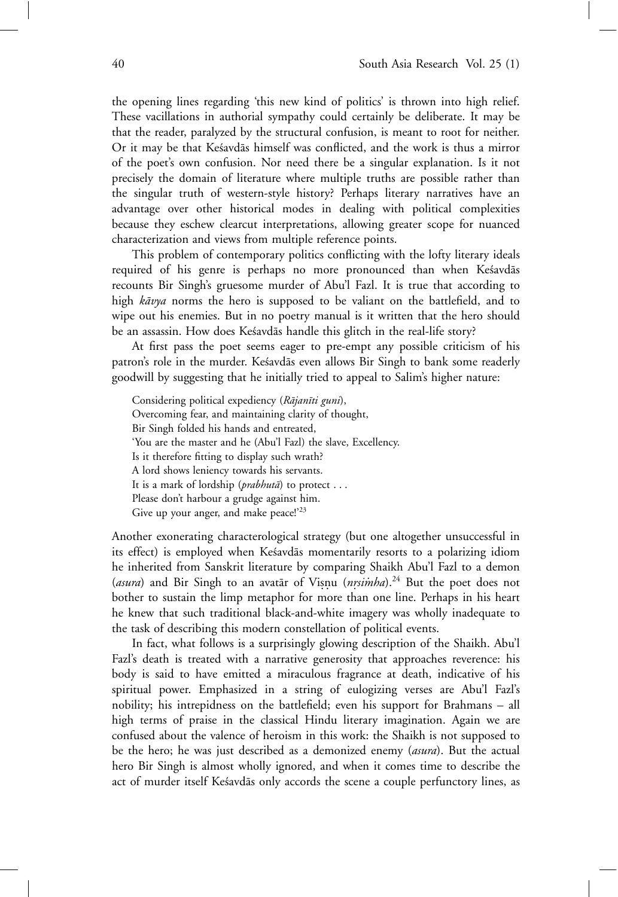the opening lines regarding 'this new kind of politics' is thrown into high relief. These vacillations in authorial sympathy could certainly be deliberate. It may be that the reader, paralyzed by the structural confusion, is meant to root for neither. Or it may be that Kesavdas himself was conflicted, and the work is thus a mirror of the poet's own confusion. Nor need there be a singular explanation. Is it not precisely the domain of literature where multiple truths are possible rather than the singular truth of western-style history? Perhaps literary narratives have an advantage over other historical modes in dealing with political complexities because they eschew clearcut interpretations, allowing greater scope for nuanced characterization and views from multiple reference points.

This problem of contemporary politics conflicting with the lofty literary ideals required of his genre is perhaps no more pronounced than when Kesavdas recounts Bir Singh's gruesome murder of Abu'l Fazl. It is true that according to high *kāvya* norms the hero is supposed to be valiant on the battlefield, and to wipe out his enemies. But in no poetry manual is it written that the hero should be an assassin. How does Kesavdās handle this glitch in the real-life story?

At first pass the poet seems eager to pre-empt any possible criticism of his patron's role in the murder. Kesavdas even allows Bir Singh to bank some readerly goodwill by suggesting that he initially tried to appeal to Salim's higher nature:

Considering political expediency (Rājanīti guni), Overcoming fear, and maintaining clarity of thought, Bir Singh folded his hands and entreated, 'You are the master and he (Abu'l Fazl) the slave, Excellency. Is it therefore fitting to display such wrath? A lord shows leniency towards his servants. It is a mark of lordship (*prabhutā*) to protect . . . Please don't harbour a grudge against him. Give up your anger, and make peace!<sup>'23</sup>

Another exonerating characterological strategy (but one altogether unsuccessful in its effect) is employed when Kesavdas momentarily resorts to a polarizing idiom he inherited from Sanskrit literature by comparing Shaikh Abu'l Fazl to a demon (*asura*) and Bir Singh to an avatar of Visnu (*nrsimha*).<sup>24</sup> But the poet does not bother to sustain the limp metaphor for more than one line. Perhaps in his heart he knew that such traditional black-and-white imagery was wholly inadequate to the task of describing this modern constellation of political events.

In fact, what follows is a surprisingly glowing description of the Shaikh. Abu'l Fazl's death is treated with a narrative generosity that approaches reverence: his body is said to have emitted a miraculous fragrance at death, indicative of his spiritual power. Emphasized in a string of eulogizing verses are Abu'l Fazl's nobility; his intrepidness on the battlefield; even his support for Brahmans – all high terms of praise in the classical Hindu literary imagination. Again we are confused about the valence of heroism in this work: the Shaikh is not supposed to be the hero; he was just described as a demonized enemy (*asura*). But the actual hero Bir Singh is almost wholly ignored, and when it comes time to describe the act of murder itself Kesavdās only accords the scene a couple perfunctory lines, as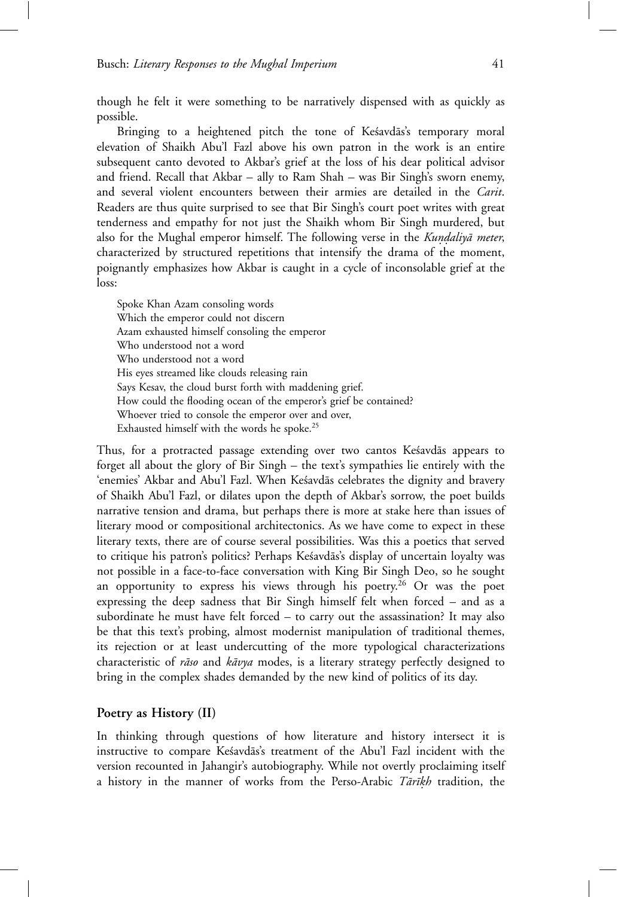though he felt it were something to be narratively dispensed with as quickly as possible.

Bringing to a heightened pitch the tone of Kesavdas's temporary moral elevation of Shaikh Abu'l Fazl above his own patron in the work is an entire subsequent canto devoted to Akbar's grief at the loss of his dear political advisor and friend. Recall that Akbar – ally to Ram Shah – was Bir Singh's sworn enemy, and several violent encounters between their armies are detailed in the *Carit*. Readers are thus quite surprised to see that Bir Singh's court poet writes with great tenderness and empathy for not just the Shaikh whom Bir Singh murdered, but also for the Mughal emperor himself. The following verse in the *Kundaliya meter*, characterized by structured repetitions that intensify the drama of the moment, poignantly emphasizes how Akbar is caught in a cycle of inconsolable grief at the loss:

Spoke Khan Azam consoling words Which the emperor could not discern Azam exhausted himself consoling the emperor Who understood not a word Who understood not a word His eyes streamed like clouds releasing rain Says Kesav, the cloud burst forth with maddening grief. How could the flooding ocean of the emperor's grief be contained? Whoever tried to console the emperor over and over, Exhausted himself with the words he spoke.25

Thus, for a protracted passage extending over two cantos Kesavdas appears to forget all about the glory of Bir Singh – the text's sympathies lie entirely with the 'enemies' Akbar and Abu'l Fazl. When Ke'savdas celebrates the dignity and bravery of Shaikh Abu'l Fazl, or dilates upon the depth of Akbar's sorrow, the poet builds narrative tension and drama, but perhaps there is more at stake here than issues of literary mood or compositional architectonics. As we have come to expect in these literary texts, there are of course several possibilities. Was this a poetics that served to critique his patron's politics? Perhaps Ke'savdas's display of uncertain loyalty was not possible in a face-to-face conversation with King Bir Singh Deo, so he sought an opportunity to express his views through his poetry.<sup>26</sup> Or was the poet expressing the deep sadness that Bir Singh himself felt when forced – and as a subordinate he must have felt forced – to carry out the assassination? It may also be that this text's probing, almost modernist manipulation of traditional themes, its rejection or at least undercutting of the more typological characterizations characteristic of *rāso* and *kāvya* modes, is a literary strategy perfectly designed to bring in the complex shades demanded by the new kind of politics of its day.

# **Poetry as History (II)**

In thinking through questions of how literature and history intersect it is instructive to compare Kesavdas's treatment of the Abu'l Fazl incident with the version recounted in Jahangir's autobiography. While not overtly proclaiming itself a history in the manner of works from the Perso-Arabic *Tārīkh* tradition, the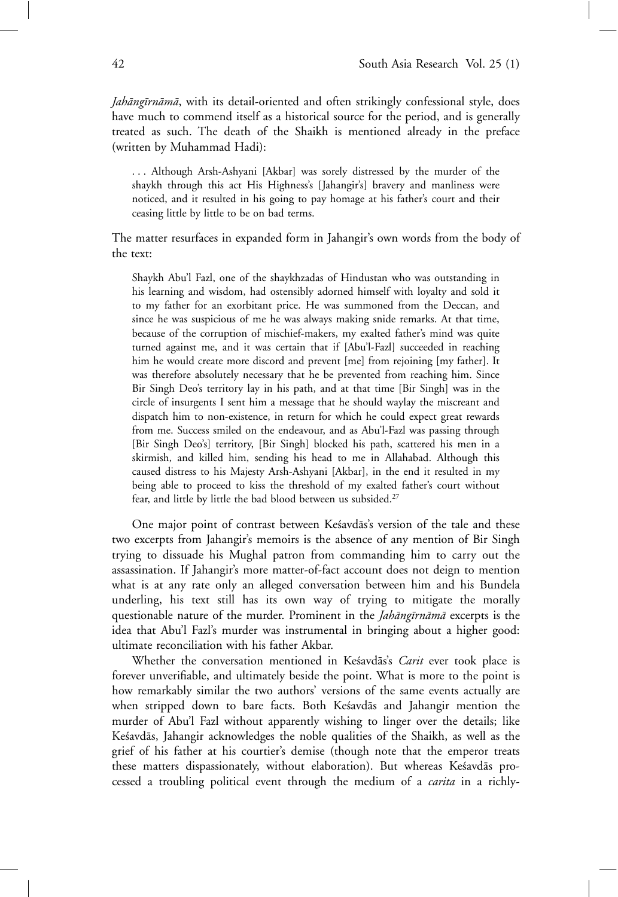*Jahāngīrnāmā*, with its detail-oriented and often strikingly confessional style, does have much to commend itself as a historical source for the period, and is generally treated as such. The death of the Shaikh is mentioned already in the preface (written by Muhammad Hadi):

. . . Although Arsh-Ashyani [Akbar] was sorely distressed by the murder of the shaykh through this act His Highness's [Jahangir's] bravery and manliness were noticed, and it resulted in his going to pay homage at his father's court and their ceasing little by little to be on bad terms.

The matter resurfaces in expanded form in Jahangir's own words from the body of the text:

Shaykh Abu'l Fazl, one of the shaykhzadas of Hindustan who was outstanding in his learning and wisdom, had ostensibly adorned himself with loyalty and sold it to my father for an exorbitant price. He was summoned from the Deccan, and since he was suspicious of me he was always making snide remarks. At that time, because of the corruption of mischief-makers, my exalted father's mind was quite turned against me, and it was certain that if [Abu'l-Fazl] succeeded in reaching him he would create more discord and prevent [me] from rejoining [my father]. It was therefore absolutely necessary that he be prevented from reaching him. Since Bir Singh Deo's territory lay in his path, and at that time [Bir Singh] was in the circle of insurgents I sent him a message that he should waylay the miscreant and dispatch him to non-existence, in return for which he could expect great rewards from me. Success smiled on the endeavour, and as Abu'l-Fazl was passing through [Bir Singh Deo's] territory, [Bir Singh] blocked his path, scattered his men in a skirmish, and killed him, sending his head to me in Allahabad. Although this caused distress to his Majesty Arsh-Ashyani [Akbar], in the end it resulted in my being able to proceed to kiss the threshold of my exalted father's court without fear, and little by little the bad blood between us subsided.<sup>27</sup>

One major point of contrast between Kesavdas's version of the tale and these two excerpts from Jahangir's memoirs is the absence of any mention of Bir Singh trying to dissuade his Mughal patron from commanding him to carry out the assassination. If Jahangir's more matter-of-fact account does not deign to mention what is at any rate only an alleged conversation between him and his Bundela underling, his text still has its own way of trying to mitigate the morally questionable nature of the murder. Prominent in the *Jahāngīrnāmā* excerpts is the idea that Abu'l Fazl's murder was instrumental in bringing about a higher good: ultimate reconciliation with his father Akbar.

Whether the conversation mentioned in Kesavdas's *Carit* ever took place is forever unverifiable, and ultimately beside the point. What is more to the point is how remarkably similar the two authors' versions of the same events actually are when stripped down to bare facts. Both Kesavdas and Jahangir mention the murder of Abu'l Fazl without apparently wishing to linger over the details; like Ke'savdās, Jahangir acknowledges the noble qualities of the Shaikh, as well as the grief of his father at his courtier's demise (though note that the emperor treats these matters dispassionately, without elaboration). But whereas Kesavdas processed a troubling political event through the medium of a *carita* in a richly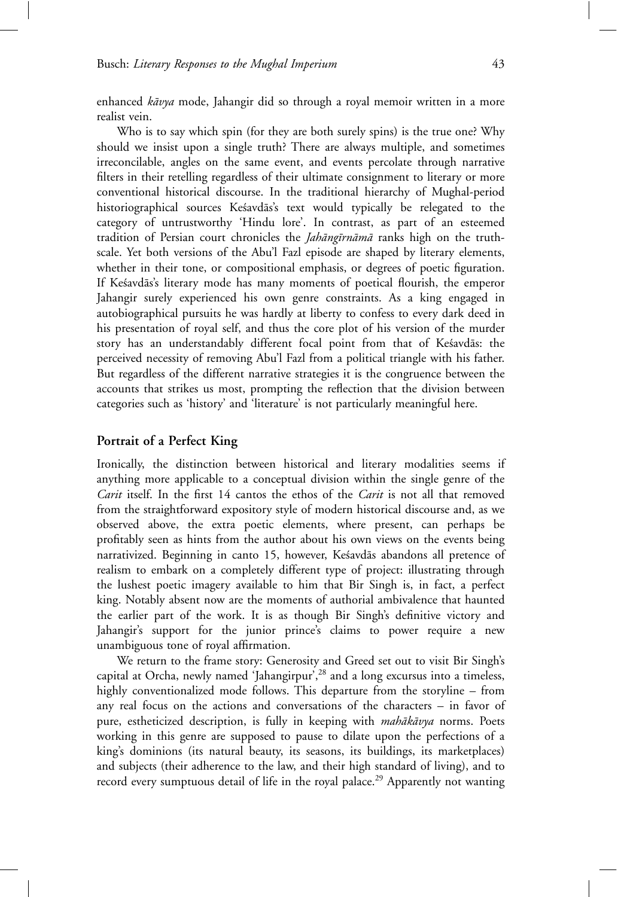enhanced *kāvya* mode, Jahangir did so through a royal memoir written in a more realist vein.

Who is to say which spin (for they are both surely spins) is the true one? Why should we insist upon a single truth? There are always multiple, and sometimes irreconcilable, angles on the same event, and events percolate through narrative filters in their retelling regardless of their ultimate consignment to literary or more conventional historical discourse. In the traditional hierarchy of Mughal-period historiographical sources Kesavdās's text would typically be relegated to the category of untrustworthy 'Hindu lore'. In contrast, as part of an esteemed tradition of Persian court chronicles the *Jahāngīrnāmā* ranks high on the truthscale. Yet both versions of the Abu'l Fazl episode are shaped by literary elements, whether in their tone, or compositional emphasis, or degrees of poetic figuration. If Kesavdas's literary mode has many moments of poetical flourish, the emperor Jahangir surely experienced his own genre constraints. As a king engaged in autobiographical pursuits he was hardly at liberty to confess to every dark deed in his presentation of royal self, and thus the core plot of his version of the murder story has an understandably different focal point from that of Kesavdas: the perceived necessity of removing Abu'l Fazl from a political triangle with his father. But regardless of the different narrative strategies it is the congruence between the accounts that strikes us most, prompting the reflection that the division between categories such as 'history' and 'literature' is not particularly meaningful here.

# **Portrait of a Perfect King**

Ironically, the distinction between historical and literary modalities seems if anything more applicable to a conceptual division within the single genre of the *Carit* itself. In the first 14 cantos the ethos of the *Carit* is not all that removed from the straightforward expository style of modern historical discourse and, as we observed above, the extra poetic elements, where present, can perhaps be profitably seen as hints from the author about his own views on the events being narrativized. Beginning in canto 15, however, Kesavdas abandons all pretence of realism to embark on a completely different type of project: illustrating through the lushest poetic imagery available to him that Bir Singh is, in fact, a perfect king. Notably absent now are the moments of authorial ambivalence that haunted the earlier part of the work. It is as though Bir Singh's definitive victory and Jahangir's support for the junior prince's claims to power require a new unambiguous tone of royal affirmation.

We return to the frame story: Generosity and Greed set out to visit Bir Singh's capital at Orcha, newly named 'Jahangirpur',28 and a long excursus into a timeless, highly conventionalized mode follows. This departure from the storyline – from any real focus on the actions and conversations of the characters – in favor of pure, estheticized description, is fully in keeping with *mahākāvya* norms. Poets working in this genre are supposed to pause to dilate upon the perfections of a king's dominions (its natural beauty, its seasons, its buildings, its marketplaces) and subjects (their adherence to the law, and their high standard of living), and to record every sumptuous detail of life in the royal palace.<sup>29</sup> Apparently not wanting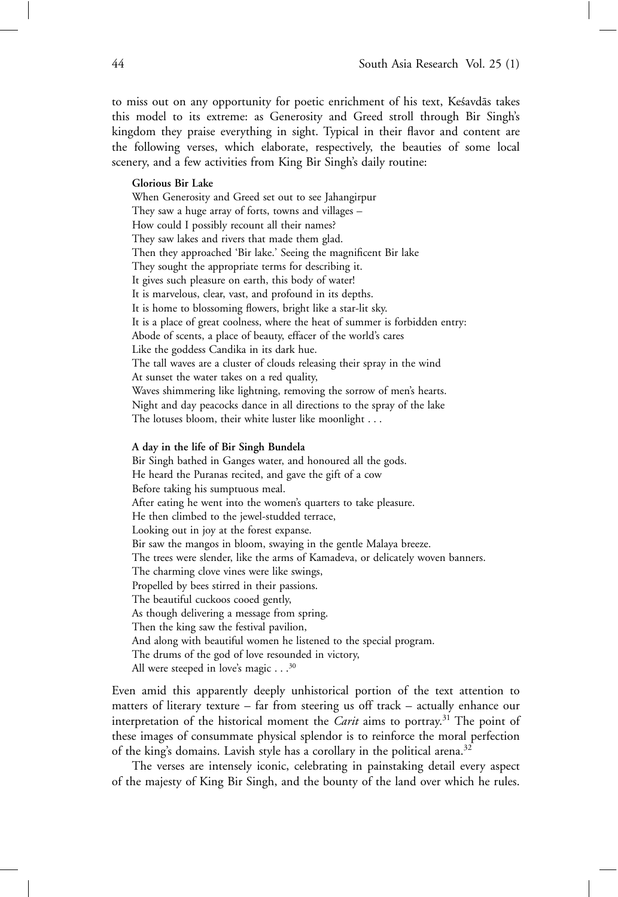to miss out on any opportunity for poetic enrichment of his text, Kesavdas takes this model to its extreme: as Generosity and Greed stroll through Bir Singh's kingdom they praise everything in sight. Typical in their flavor and content are the following verses, which elaborate, respectively, the beauties of some local scenery, and a few activities from King Bir Singh's daily routine:

#### **Glorious Bir Lake**

When Generosity and Greed set out to see Jahangirpur They saw a huge array of forts, towns and villages – How could I possibly recount all their names? They saw lakes and rivers that made them glad. Then they approached 'Bir lake.' Seeing the magnificent Bir lake They sought the appropriate terms for describing it. It gives such pleasure on earth, this body of water! It is marvelous, clear, vast, and profound in its depths. It is home to blossoming flowers, bright like a star-lit sky. It is a place of great coolness, where the heat of summer is forbidden entry: Abode of scents, a place of beauty, effacer of the world's cares Like the goddess Candika in its dark hue. The tall waves are a cluster of clouds releasing their spray in the wind At sunset the water takes on a red quality, Waves shimmering like lightning, removing the sorrow of men's hearts. Night and day peacocks dance in all directions to the spray of the lake The lotuses bloom, their white luster like moonlight . . .

#### **A day in the life of Bir Singh Bundela**

Bir Singh bathed in Ganges water, and honoured all the gods. He heard the Puranas recited, and gave the gift of a cow Before taking his sumptuous meal. After eating he went into the women's quarters to take pleasure. He then climbed to the jewel-studded terrace, Looking out in joy at the forest expanse. Bir saw the mangos in bloom, swaying in the gentle Malaya breeze. The trees were slender, like the arms of Kamadeva, or delicately woven banners. The charming clove vines were like swings, Propelled by bees stirred in their passions. The beautiful cuckoos cooed gently, As though delivering a message from spring. Then the king saw the festival pavilion, And along with beautiful women he listened to the special program. The drums of the god of love resounded in victory, All were steeped in love's magic . . .<sup>30</sup>

Even amid this apparently deeply unhistorical portion of the text attention to matters of literary texture – far from steering us off track – actually enhance our interpretation of the historical moment the *Carit* aims to portray. <sup>31</sup> The point of these images of consummate physical splendor is to reinforce the moral perfection of the king's domains. Lavish style has a corollary in the political arena.<sup>32</sup>

The verses are intensely iconic, celebrating in painstaking detail every aspect of the majesty of King Bir Singh, and the bounty of the land over which he rules.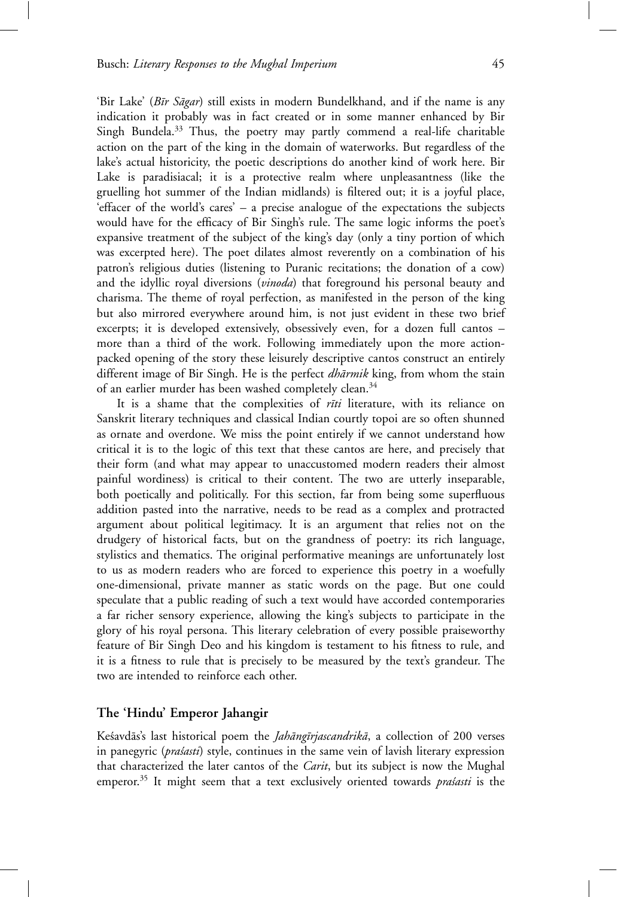'Bir Lake' (*Bīr Sāgar*) still exists in modern Bundelkhand, and if the name is any indication it probably was in fact created or in some manner enhanced by Bir Singh Bundela.<sup>33</sup> Thus, the poetry may partly commend a real-life charitable action on the part of the king in the domain of waterworks. But regardless of the lake's actual historicity, the poetic descriptions do another kind of work here. Bir Lake is paradisiacal; it is a protective realm where unpleasantness (like the gruelling hot summer of the Indian midlands) is filtered out; it is a joyful place, 'effacer of the world's cares' – a precise analogue of the expectations the subjects would have for the efficacy of Bir Singh's rule. The same logic informs the poet's expansive treatment of the subject of the king's day (only a tiny portion of which was excerpted here). The poet dilates almost reverently on a combination of his patron's religious duties (listening to Puranic recitations; the donation of a cow) and the idyllic royal diversions (*vinoda*) that foreground his personal beauty and charisma. The theme of royal perfection, as manifested in the person of the king but also mirrored everywhere around him, is not just evident in these two brief excerpts; it is developed extensively, obsessively even, for a dozen full cantos – more than a third of the work. Following immediately upon the more actionpacked opening of the story these leisurely descriptive cantos construct an entirely different image of Bir Singh. He is the perfect *dhārmik* king, from whom the stain of an earlier murder has been washed completely clean.<sup>34</sup>

It is a shame that the complexities of *rīti* literature, with its reliance on Sanskrit literary techniques and classical Indian courtly topoi are so often shunned as ornate and overdone. We miss the point entirely if we cannot understand how critical it is to the logic of this text that these cantos are here, and precisely that their form (and what may appear to unaccustomed modern readers their almost painful wordiness) is critical to their content. The two are utterly inseparable, both poetically and politically. For this section, far from being some superfluous addition pasted into the narrative, needs to be read as a complex and protracted argument about political legitimacy. It is an argument that relies not on the drudgery of historical facts, but on the grandness of poetry: its rich language, stylistics and thematics. The original performative meanings are unfortunately lost to us as modern readers who are forced to experience this poetry in a woefully one-dimensional, private manner as static words on the page. But one could speculate that a public reading of such a text would have accorded contemporaries a far richer sensory experience, allowing the king's subjects to participate in the glory of his royal persona. This literary celebration of every possible praiseworthy feature of Bir Singh Deo and his kingdom is testament to his fitness to rule, and it is a fitness to rule that is precisely to be measured by the text's grandeur. The two are intended to reinforce each other.

### **The 'Hindu' Emperor Jahangir**

Keśavdās's last historical poem the *Jahāngīrjascandrikā*, a collection of 200 verses in panegyric (*pra´sasti*) style, continues in the same vein of lavish literary expression that characterized the later cantos of the *Carit*, but its subject is now the Mughal emperor.<sup>35</sup> It might seem that a text exclusively oriented towards *prasasti* is the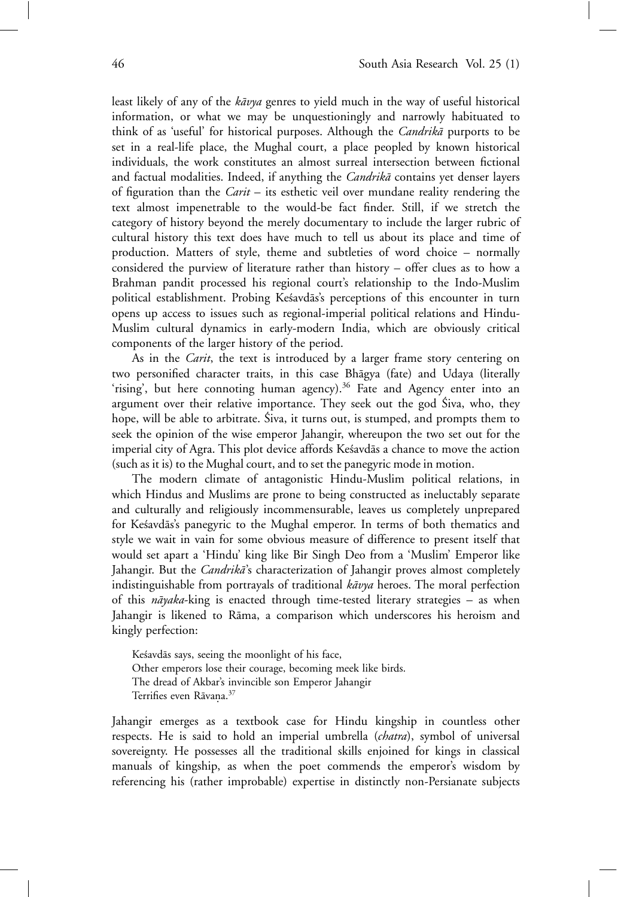least likely of any of the *kāvya* genres to yield much in the way of useful historical information, or what we may be unquestioningly and narrowly habituated to think of as 'useful' for historical purposes. Although the *Candrika*<sup>*z*</sup> purports to be set in a real-life place, the Mughal court, a place peopled by known historical individuals, the work constitutes an almost surreal intersection between fictional and factual modalities. Indeed, if anything the *Candrika* contains yet denser layers of figuration than the *Carit* – its esthetic veil over mundane reality rendering the text almost impenetrable to the would-be fact finder. Still, if we stretch the category of history beyond the merely documentary to include the larger rubric of cultural history this text does have much to tell us about its place and time of production. Matters of style, theme and subtleties of word choice – normally considered the purview of literature rather than history – offer clues as to how a Brahman pandit processed his regional court's relationship to the Indo-Muslim political establishment. Probing Kesavdas's perceptions of this encounter in turn opens up access to issues such as regional-imperial political relations and Hindu-Muslim cultural dynamics in early-modern India, which are obviously critical components of the larger history of the period.

As in the *Carit*, the text is introduced by a larger frame story centering on two personified character traits, in this case Bhagya (fate) and Udaya (literally 'rising', but here connoting human agency).<sup>36</sup> Fate and Agency enter into an argument over their relative importance. They seek out the god Siva, who, they hope, will be able to arbitrate. Siva, it turns out, is stumped, and prompts them to seek the opinion of the wise emperor Jahangir, whereupon the two set out for the imperial city of Agra. This plot device affords Keśavdās a chance to move the action (such as it is) to the Mughal court, and to set the panegyric mode in motion.

The modern climate of antagonistic Hindu-Muslim political relations, in which Hindus and Muslims are prone to being constructed as ineluctably separate and culturally and religiously incommensurable, leaves us completely unprepared for Keśavdās's panegyric to the Mughal emperor. In terms of both thematics and style we wait in vain for some obvious measure of difference to present itself that would set apart a 'Hindu' king like Bir Singh Deo from a 'Muslim' Emperor like Jahangir. But the *Candrikā*'s characterization of Jahangir proves almost completely indistinguishable from portrayals of traditional *kāvya* heroes. The moral perfection of this *nāyaka*-king is enacted through time-tested literary strategies – as when Jahangir is likened to Rāma, a comparison which underscores his heroism and kingly perfection:

Ke'savdās says, seeing the moonlight of his face, Other emperors lose their courage, becoming meek like birds. The dread of Akbar's invincible son Emperor Jahangir Terrifies even Rāvana.<sup>37</sup>

Jahangir emerges as a textbook case for Hindu kingship in countless other respects. He is said to hold an imperial umbrella (*chatra*), symbol of universal sovereignty. He possesses all the traditional skills enjoined for kings in classical manuals of kingship, as when the poet commends the emperor's wisdom by referencing his (rather improbable) expertise in distinctly non-Persianate subjects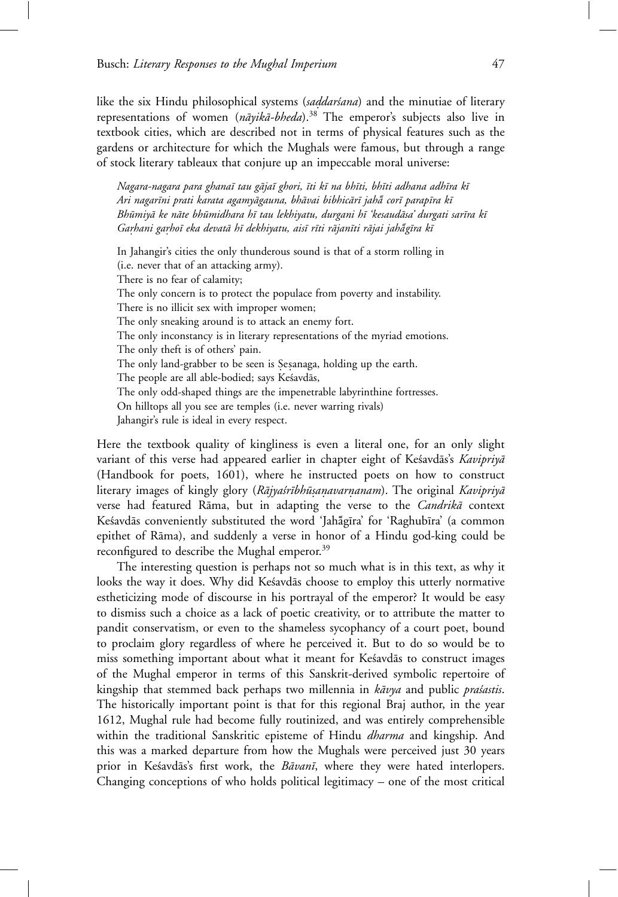like the six Hindu philosophical systems (saddarśana) and the minutiae of literary representations of women (*nāyikā-bheda*).<sup>38</sup> The emperor's subjects also live in textbook cities, which are described not in terms of physical features such as the gardens or architecture for which the Mughals were famous, but through a range of stock literary tableaux that conjure up an impeccable moral universe:

*Nagara-nagara para ghana¯ı tau gaja ¯ ˜ı ghori, ¯ıti k¯ı na bh¯ıti, bh¯ıti adhana adh¯ıra k¯ı Ari nagar¯ıni prati karata agamyagauna, bh ¯ av¯ ai bibhicar¯ ¯ı jaha¯˜ cor¯ı parap¯ıra k¯ı Bhumiy ¯ a ke n ¯ ate bh ¯ umidhar ¯ a h¯ı tau lekhiyatu, durgani h¯ı 'kesaudasa ¯ ' durgati sar¯ıra k¯ı*  $G$ arhani garhoī eka devatā hī dekhiyatu, aisī rīti rājanīti rājai jahāgīra kī

In Jahangir's cities the only thunderous sound is that of a storm rolling in (i.e. never that of an attacking army). There is no fear of calamity; The only concern is to protect the populace from poverty and instability. There is no illicit sex with improper women; The only sneaking around is to attack an enemy fort. The only inconstancy is in literary representations of the myriad emotions. The only theft is of others' pain. The only land-grabber to be seen is Sesanaga, holding up the earth. The people are all able-bodied; says Kesavdās, The only odd-shaped things are the impenetrable labyrinthine fortresses. On hilltops all you see are temples (i.e. never warring rivals) Jahangir's rule is ideal in every respect.

Here the textbook quality of kingliness is even a literal one, for an only slight variant of this verse had appeared earlier in chapter eight of Kesavdas's *Kavipriya* (Handbook for poets, 1601), where he instructed poets on how to construct literary images of kingly glory (Rājyaśrībhūsaņavarņanam). The original Kavipriyā verse had featured Rāma, but in adapting the verse to the *Candrikā* context Keśavdās conveniently substituted the word 'Jahāgīra' for 'Raghubīra' (a common epithet of Rāma), and suddenly a verse in honor of a Hindu god-king could be reconfigured to describe the Mughal emperor.<sup>39</sup>

The interesting question is perhaps not so much what is in this text, as why it looks the way it does. Why did Kesavdas choose to employ this utterly normative estheticizing mode of discourse in his portrayal of the emperor? It would be easy to dismiss such a choice as a lack of poetic creativity, or to attribute the matter to pandit conservatism, or even to the shameless sycophancy of a court poet, bound to proclaim glory regardless of where he perceived it. But to do so would be to miss something important about what it meant for Kesavdas to construct images of the Mughal emperor in terms of this Sanskrit-derived symbolic repertoire of kingship that stemmed back perhaps two millennia in *kāvya* and public *praśastis*. The historically important point is that for this regional Braj author, in the year 1612, Mughal rule had become fully routinized, and was entirely comprehensible within the traditional Sanskritic episteme of Hindu *dharma* and kingship. And this was a marked departure from how the Mughals were perceived just 30 years prior in Keśavdās's first work, the *Bāvanī*, where they were hated interlopers. Changing conceptions of who holds political legitimacy – one of the most critical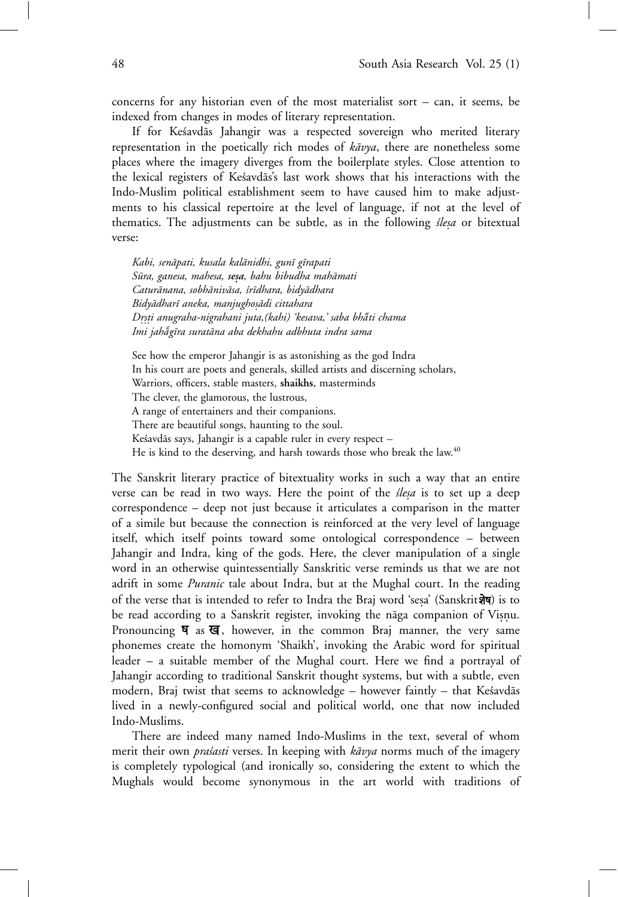concerns for any historian even of the most materialist sort – can, it seems, be indexed from changes in modes of literary representation.

If for Kesavdas Jahangir was a respected sovereign who merited literary representation in the poetically rich modes of *kāvya*, there are nonetheless some places where the imagery diverges from the boilerplate styles. Close attention to the lexical registers of Kesavdas's last work shows that his interactions with the Indo-Muslim political establishment seem to have caused him to make adjustments to his classical repertoire at the level of language, if not at the level of thematics. The adjustments can be subtle, as in the following *slesa* or bitextual verse:

*Kabi, senapati, kusala kal ¯ anidhi, gun ¯ ¯ı g¯ırapati Sur¯ a, ganesa, mahesa, ses.a, bahu bibudha mahamati ¯ Caturanana, sobh ¯ aniv ¯ asa, ¯ ´sr¯ıdhara, bidyadhar ¯ a*  $B$ *idyādharī aneka, manjughosādi cittahara D. rs.t .i anugraha-nigrahani juta,(kahi) 'kesava,' saba bha¯˜ti chama Imi jaha¯˜g¯ıra suratana aba dekhahu adbhuta indr ¯ a sama*

See how the emperor Jahangir is as astonishing as the god Indra In his court are poets and generals, skilled artists and discerning scholars, Warriors, officers, stable masters, **shaikhs**, masterminds The clever, the glamorous, the lustrous, A range of entertainers and their companions. There are beautiful songs, haunting to the soul. Ke'savdās says, Jahangir is a capable ruler in every respect  $-$ He is kind to the deserving, and harsh towards those who break the law.<sup>40</sup>

The Sanskrit literary practice of bitextuality works in such a way that an entire verse can be read in two ways. Here the point of the *slesa* is to set up a deep correspondence – deep not just because it articulates a comparison in the matter of a simile but because the connection is reinforced at the very level of language itself, which itself points toward some ontological correspondence – between Jahangir and Indra, king of the gods. Here, the clever manipulation of a single word in an otherwise quintessentially Sanskritic verse reminds us that we are not adrift in some *Puranic* tale about Indra, but at the Mughal court. In the reading of the verse that is intended to refer to Indra the Braj word 'sesa' (Sanskrit शेष) is to be read according to a Sanskrit register, invoking the nāga companion of Visnu. Pronouncing  $\overline{q}$  as  $\overline{q}$ , however, in the common Braj manner, the very same phonemes create the homonym 'Shaikh', invoking the Arabic word for spiritual leader – a suitable member of the Mughal court. Here we find a portrayal of Jahangir according to traditional Sanskrit thought systems, but with a subtle, even modern, Braj twist that seems to acknowledge – however faintly – that Keśavdās lived in a newly-configured social and political world, one that now included Indo-Muslims.

There are indeed many named Indo-Muslims in the text, several of whom merit their own *praśasti* verses. In keeping with *kāvya* norms much of the imagery is completely typological (and ironically so, considering the extent to which the Mughals would become synonymous in the art world with traditions of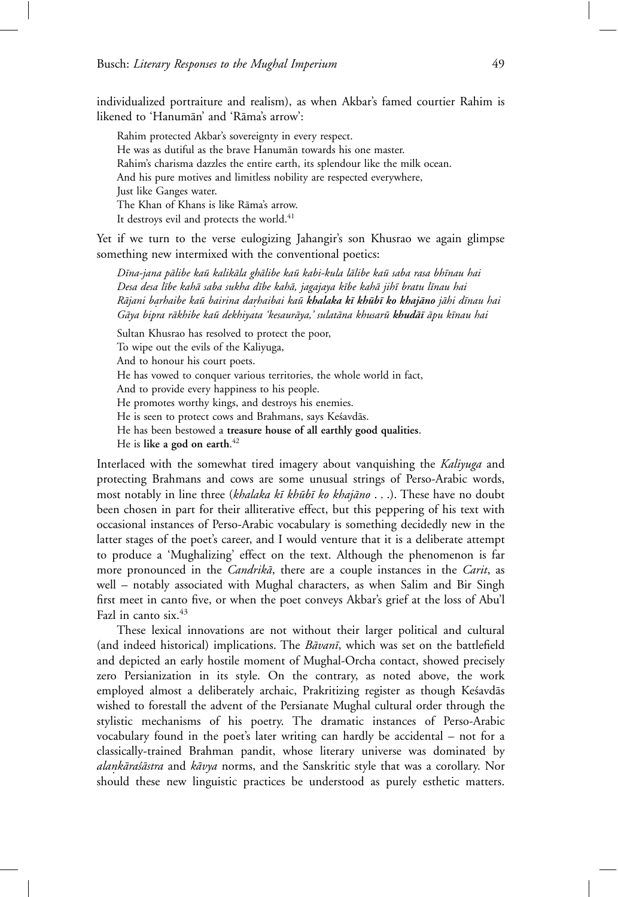individualized portraiture and realism), as when Akbar's famed courtier Rahim is likened to 'Hanumān' and 'Rāma's arrow':

Rahim protected Akbar's sovereignty in every respect. He was as dutiful as the brave Hanumān towards his one master. Rahim's charisma dazzles the entire earth, its splendour like the milk ocean. And his pure motives and limitless nobility are respected everywhere, Just like Ganges water. The Khan of Khans is like Rāma's arrow. It destroys evil and protects the world.<sup>41</sup>

Yet if we turn to the verse eulogizing Jahangir's son Khusrao we again glimpse something new intermixed with the conventional poetics:

*D¯ına-jana palibe ka ¯ u kalik ˜ ala gh ¯ alibe ka ¯ u kabi-kula l ˜ alibe ka ¯ u saba r ˜ asa bh¯ınau hai Desa desa l¯ıbe kaha saba sukha d ˜ ¯ıbe kaha, jagajaya k ˜ ¯ıbe kaha jih ˜ ˜ı bratu l¯ınau hai Rajani ba ¯ .rhaibe kau bairina dar ˜ .haibai kau ˜ khalaka k¯ı khub¯ ¯ı ko khajano ¯ jahi d ¯ ¯ınau hai Gaya bipr ¯ a rakhibe ka ¯ u dekhiyata 'kesaur ˜ aya, ¯ ' sulatana khusar ¯ u ¯ khuda¯¯ı apu k ¯ ¯ınau hai*

Sultan Khusrao has resolved to protect the poor, To wipe out the evils of the Kaliyuga, And to honour his court poets. He has vowed to conquer various territories, the whole world in fact, And to provide every happiness to his people. He promotes worthy kings, and destroys his enemies. He is seen to protect cows and Brahmans, says Kesavdās. He has been bestowed a **treasure house of all earthly good qualities**. He is **like a god on earth**. 42

Interlaced with the somewhat tired imagery about vanquishing the *Kaliyuga* and protecting Brahmans and cows are some unusual strings of Perso-Arabic words, most notably in line three (*khalaka kī khūbī ko khajāno* . . .). These have no doubt been chosen in part for their alliterative effect, but this peppering of his text with occasional instances of Perso-Arabic vocabulary is something decidedly new in the latter stages of the poet's career, and I would venture that it is a deliberate attempt to produce a 'Mughalizing' effect on the text. Although the phenomenon is far more pronounced in the *Candrika*<sup> $\bar{z}$ </sup>, there are a couple instances in the *Carit*, as well – notably associated with Mughal characters, as when Salim and Bir Singh first meet in canto five, or when the poet conveys Akbar's grief at the loss of Abu'l Fazl in canto six.<sup>43</sup>

These lexical innovations are not without their larger political and cultural (and indeed historical) implications. The *Bāvanī*, which was set on the battlefield and depicted an early hostile moment of Mughal-Orcha contact, showed precisely zero Persianization in its style. On the contrary, as noted above, the work employed almost a deliberately archaic, Prakritizing register as though Kesavdas wished to forestall the advent of the Persianate Mughal cultural order through the stylistic mechanisms of his poetry. The dramatic instances of Perso-Arabic vocabulary found in the poet's later writing can hardly be accidental – not for a classically-trained Brahman pandit, whose literary universe was dominated by *alankāraśāstra* and *kāvya* norms, and the Sanskritic style that was a corollary. Nor should these new linguistic practices be understood as purely esthetic matters.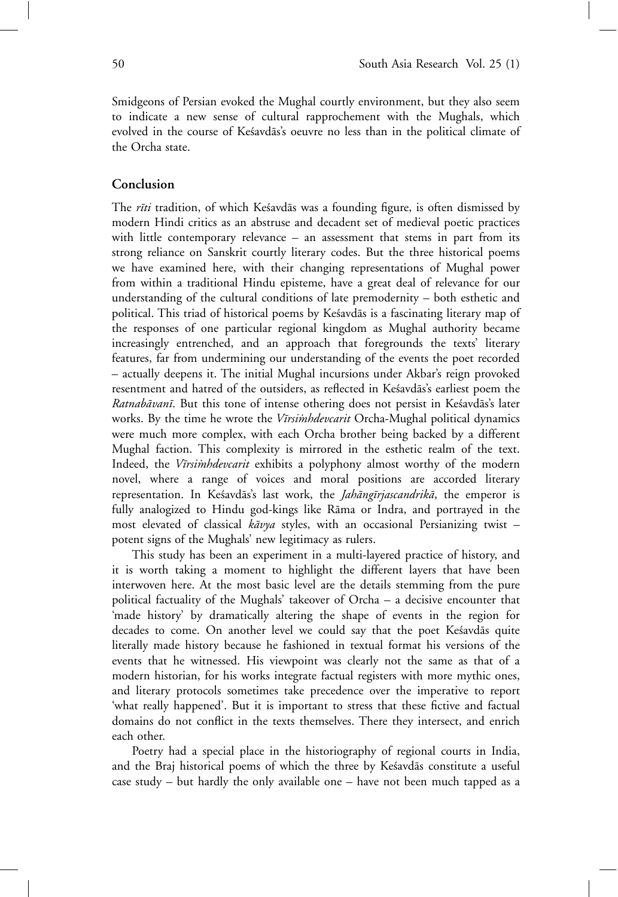Smidgeons of Persian evoked the Mughal courtly environment, but they also seem to indicate a new sense of cultural rapprochement with the Mughals, which evolved in the course of Kesavdas's oeuvre no less than in the political climate of the Orcha state.

### **Conclusion**

The *rīti* tradition, of which Ke'savdās was a founding figure, is often dismissed by modern Hindi critics as an abstruse and decadent set of medieval poetic practices with little contemporary relevance – an assessment that stems in part from its strong reliance on Sanskrit courtly literary codes. But the three historical poems we have examined here, with their changing representations of Mughal power from within a traditional Hindu episteme, have a great deal of relevance for our understanding of the cultural conditions of late premodernity – both esthetic and political. This triad of historical poems by Kesavdās is a fascinating literary map of the responses of one particular regional kingdom as Mughal authority became increasingly entrenched, and an approach that foregrounds the texts' literary features, far from undermining our understanding of the events the poet recorded – actually deepens it. The initial Mughal incursions under Akbar's reign provoked resentment and hatred of the outsiders, as reflected in Kesavdas's earliest poem the *Ratnabāvanī*. But this tone of intense othering does not persist in Kesavdās's later *Mathias diality.* But this tent of memor othering does not persist in resultance later works. By the time he wrote the *Vīrsimhdevcarit* Orcha-Mughal political dynamics were much more complex, with each Orcha brother being backed by a different Mughal faction. This complexity is mirrored in the esthetic realm of the text. Indeed, the *Vīrsimhdevcarit* exhibits a polyphony almost worthy of the modern novel, where a range of voices and moral positions are accorded literary representation. In Kesavdās's last work, the *Jahāngīrjascandrikā*, the emperor is fully analogized to Hindu god-kings like Rāma or Indra, and portrayed in the most elevated of classical *kāvya* styles, with an occasional Persianizing twist potent signs of the Mughals' new legitimacy as rulers.

This study has been an experiment in a multi-layered practice of history, and it is worth taking a moment to highlight the different layers that have been interwoven here. At the most basic level are the details stemming from the pure political factuality of the Mughals' takeover of Orcha – a decisive encounter that 'made history' by dramatically altering the shape of events in the region for decades to come. On another level we could say that the poet Kesavdas quite literally made history because he fashioned in textual format his versions of the events that he witnessed. His viewpoint was clearly not the same as that of a modern historian, for his works integrate factual registers with more mythic ones, and literary protocols sometimes take precedence over the imperative to report 'what really happened'. But it is important to stress that these fictive and factual domains do not conflict in the texts themselves. There they intersect, and enrich each other.

Poetry had a special place in the historiography of regional courts in India, and the Braj historical poems of which the three by Kesavdas constitute a useful case study – but hardly the only available one – have not been much tapped as a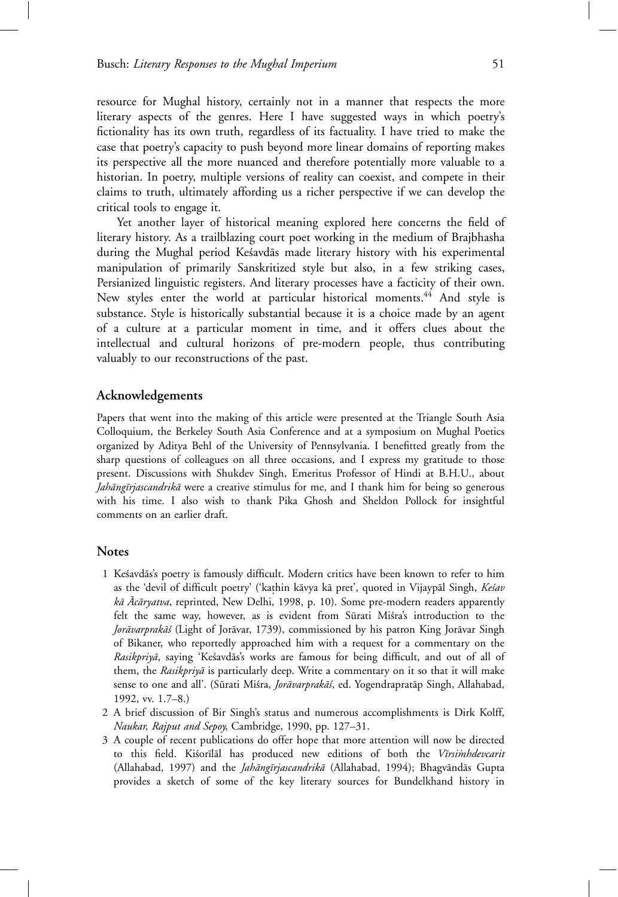resource for Mughal history, certainly not in a manner that respects the more literary aspects of the genres. Here I have suggested ways in which poetry's fictionality has its own truth, regardless of its factuality. I have tried to make the case that poetry's capacity to push beyond more linear domains of reporting makes its perspective all the more nuanced and therefore potentially more valuable to a historian. In poetry, multiple versions of reality can coexist, and compete in their claims to truth, ultimately affording us a richer perspective if we can develop the critical tools to engage it.

Yet another layer of historical meaning explored here concerns the field of literary history. As a trailblazing court poet working in the medium of Brajbhasha during the Mughal period Kesavdās made literary history with his experimental manipulation of primarily Sanskritized style but also, in a few striking cases, Persianized linguistic registers. And literary processes have a facticity of their own. New styles enter the world at particular historical moments.<sup>44</sup> And style is substance. Style is historically substantial because it is a choice made by an agent of a culture at a particular moment in time, and it offers clues about the intellectual and cultural horizons of pre-modern people, thus contributing valuably to our reconstructions of the past.

### **Acknowledgements**

Papers that went into the making of this article were presented at the Triangle South Asia Colloquium, the Berkeley South Asia Conference and at a symposium on Mughal Poetics organized by Aditya Behl of the University of Pennsylvania. I benefitted greatly from the sharp questions of colleagues on all three occasions, and I express my gratitude to those present. Discussions with Shukdev Singh, Emeritus Professor of Hindi at B.H.U., about *Jahāngīrjascandrikā* were a creative stimulus for me, and I thank him for being so generous with his time. I also wish to thank Pika Ghosh and Sheldon Pollock for insightful comments on an earlier draft.

### **Notes**

- 1 Kesavdās's poetry is famously difficult. Modern critics have been known to refer to him as the 'devil of difficult poetry' ('kathin kāvya kā pret', quoted in Vijaypāl Singh, *Keśav kā Ācāryatva*, reprinted, New Delhi, 1998, p. 10). Some pre-modern readers apparently felt the same way, however, as is evident from Sūrati Miśra's introduction to the *Jorāvarprakāš* (Light of Jorāvar, 1739), commissioned by his patron King Jorāvar Singh of Bikaner, who reportedly approached him with a request for a commentary on the *Rasikpriyā*, saying 'Kesavdās's works are famous for being difficult, and out of all of them, the *Rasikpriyā* is particularly deep. Write a commentary on it so that it will make sense to one and all'. (Sūrati Miśra, *Jorāvarprakāš*, ed. Yogendrapratāp Singh, Allahabad, 1992, vv. 1.7–8.)
- 2 A brief discussion of Bir Singh's status and numerous accomplishments is Dirk Kolff, *Naukar, Rajput and Sepoy*, Cambridge, 1990, pp. 127–31.
- 3 A couple of recent publications do offer hope that more attention will now be directed to this field. Kiśorīlāl has produced new editions of both the *Vīrsimhdevcarit* (Allahabad, 1997) and the *Jahāngīrjascandrikā* (Allahabad, 1994); Bhagvāndās Gupta provides a sketch of some of the key literary sources for Bundelkhand history in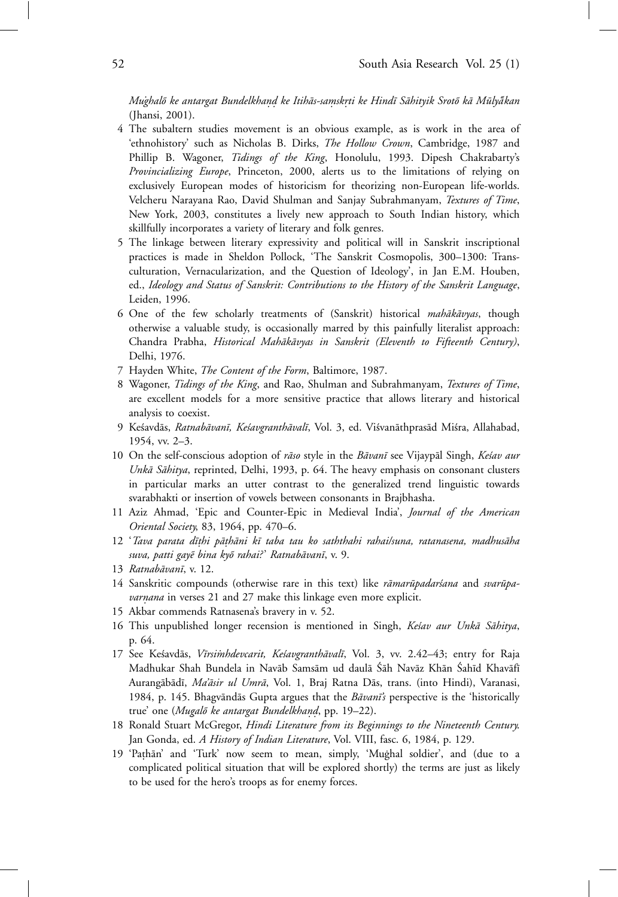.<br>Mughalõ ke antargat Bundelkhand ke Itihās-saṃskṛti ke Hindī Sāhityik Srotõ kā Mūlyākan (Jhansi, 2001).

- 4 The subaltern studies movement is an obvious example, as is work in the area of 'ethnohistory' such as Nicholas B. Dirks, *The Hollow Crown*, Cambridge, 1987 and Phillip B. Wagoner, *Tidings of the King*, Honolulu, 1993. Dipesh Chakrabarty's *Provincializing Europe*, Princeton, 2000, alerts us to the limitations of relying on exclusively European modes of historicism for theorizing non-European life-worlds. Velcheru Narayana Rao, David Shulman and Sanjay Subrahmanyam, *Textures of Time*, New York, 2003, constitutes a lively new approach to South Indian history, which skillfully incorporates a variety of literary and folk genres.
- 5 The linkage between literary expressivity and political will in Sanskrit inscriptional practices is made in Sheldon Pollock, 'The Sanskrit Cosmopolis, 300–1300: Transculturation, Vernacularization, and the Question of Ideology', in Jan E.M. Houben, ed., *Ideology and Status of Sanskrit: Contributions to the History of the Sanskrit Language*, Leiden, 1996.
- 6 One of the few scholarly treatments of (Sanskrit) historical *mahākāvyas*, though otherwise a valuable study, is occasionally marred by this painfully literalist approach: Chandra Prabha, *Historical Mahak¯ avyas in S ¯ anskrit (Eleventh to Fifteenth Century)*, Delhi, 1976.
- 7 Hayden White, *The Content of the Form*, Baltimore, 1987.
- 8 Wagoner, *Tidings of the King*, and Rao, Shulman and Subrahmanyam, *Textures of Time*, are excellent models for a more sensitive practice that allows literary and historical analysis to coexist.
- 9 Keśavdās, Ratnabāvanī, Keśavgranthāvalī, Vol. 3, ed. Viśvanāthprasād Miśra, Allahabad, 1954, vv. 2–3.
- 10 On the self-conscious adoption of *rāso* style in the *Bāvanī* see Vijaypāl Singh, *Kešav aur Unkā Sāhitya*, reprinted, Delhi, 1993, p. 64. The heavy emphasis on consonant clusters in particular marks an utter contrast to the generalized trend linguistic towards svarabhakti or insertion of vowels between consonants in Brajbhasha.
- 11 Aziz Ahmad, 'Epic and Counter-Epic in Medieval India', *Journal of the American Oriental Society*, 83, 1964, pp. 470–6.
- 12 '*Tava parata dīthi pāthāni kī taba tau ko saththahi rahai/suna, ratanasena, madhusāha suva, patti gay˜e bina kyo r ˜ ahai?*' *Ratnabav¯ an¯ı*, v. 9.
- 13 *Ratnabāvanī*, v. 12.
- 14 Sanskritic compounds (otherwise rare in this text) like *rāmarūpadarsana* and *svarūpavarnana* in verses 21 and 27 make this linkage even more explicit.
- 15 Akbar commends Ratnasena's bravery in v. 52.
- 16 This unpublished longer recension is mentioned in Singh, *Kesav aur Unkā Sāhitya*, p. 64.
- 17 See Keśavdās, *Vīrsimhdevcarit, Keśavgranthāvalī*, Vol. 3, vv. 2.42–43; entry for Raja Madhukar Shah Bundela in Navāb Samsām ud daulā Šāh Navāz Khān Śahīd Khavāfī Aurangābādī, *Ma'āsir ul Umrā*, Vol. 1, Braj Ratna Dās, trans. (into Hindi), Varanasi, 1984, p. 145. Bhagvandas Gupta argues that the *Bavani's* perspective is the 'historically true' one (Mugalõ ke antargat Bundelkhand, pp. 19–22).
- 18 Ronald Stuart McGregor, *Hindi Literature from its Beginnings to the Nineteenth Century*. Jan Gonda, ed. *A History of Indian Literature*, Vol. VIII, fasc. 6, 1984, p. 129.
- 19 'Pathan' and 'Turk' now seem to mean, simply, 'Mughal soldier', and (due to a complicated political situation that will be explored shortly) the terms are just as likely to be used for the hero's troops as for enemy forces.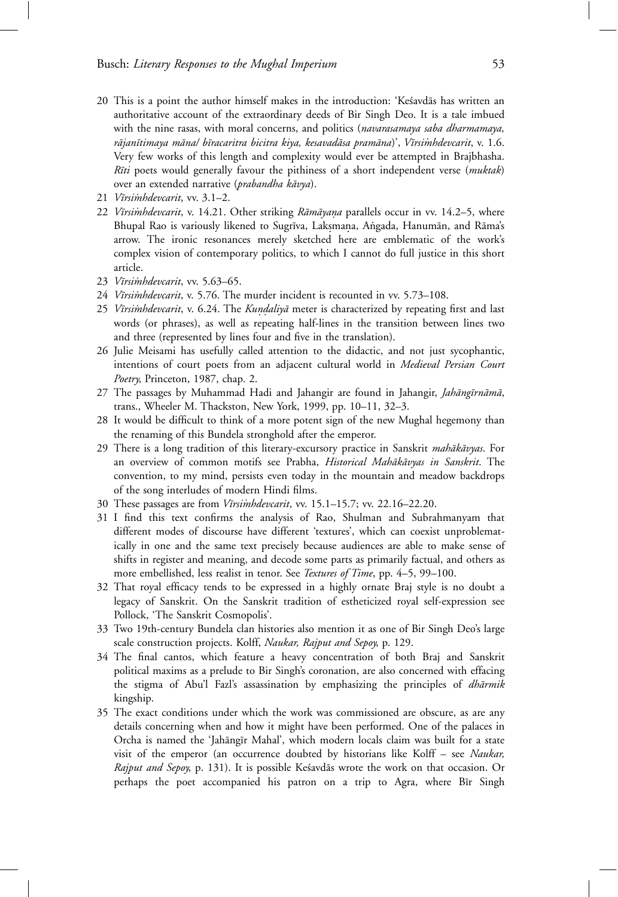- 20 This is a point the author himself makes in the introduction: 'Kesavdas has written an authoritative account of the extraordinary deeds of Bir Singh Deo. It is a tale imbued with the nine rasas, with moral concerns, and politics (*navarasamaya saba dharmamaya, rajan ¯ ¯ıtimaya mana/ b ¯ ¯ıracaritra bicitra kiya, kesavadasa pr ¯ amana ¯* )', *V¯ırsim. hdevcarit*, v. 1.6. Very few works of this length and complexity would ever be attempted in Brajbhasha. *Rīti* poets would generally favour the pithiness of a short independent verse (*muktak*) over an extended narrative (*prabandha kāvya*).
- <sup>21</sup> *V¯ırsim. hdevcarit*, vv. 3.1–2.
- 22 *Vīrsimhdevcarit*, v. 14.21. Other striking *Rāmāyaṇa* parallels occur in vv. 14.2–5, where Bhupal Rao is variously likened to Sugrīva, Laksmana, Angada, Hanumān, and Rāma's arrow. The ironic resonances merely sketched here are emblematic of the work's complex vision of contemporary politics, to which I cannot do full justice in this short article.
- <sup>23</sup> *V¯ırsim. hdevcarit*, vv. 5.63–65.
- <sup>24</sup> *V¯ırsim. hdevcarit*, v. 5.76. The murder incident is recounted in vv. 5.73–108.
- <sup>25</sup> *V¯ırsim. hdevcarit*, v. 6.24. The *Kun. d. aliya¯* meter is characterized by repeating first and last words (or phrases), as well as repeating half-lines in the transition between lines two and three (represented by lines four and five in the translation).
- 26 Julie Meisami has usefully called attention to the didactic, and not just sycophantic, intentions of court poets from an adjacent cultural world in *Medieval Persian Court Poetry*, Princeton, 1987, chap. 2.
- 27 The passages by Muhammad Hadi and Jahangir are found in Jahangir, *Jahāngīrnāmā*, trans., Wheeler M. Thackston, New York, 1999, pp. 10–11, 32–3.
- 28 It would be difficult to think of a more potent sign of the new Mughal hegemony than the renaming of this Bundela stronghold after the emperor.
- 29 There is a long tradition of this literary-excursory practice in Sanskrit *mahākāvyas*. For an overview of common motifs see Prabha, *Historical Mahākāvyas in Sanskrit*. The convention, to my mind, persists even today in the mountain and meadow backdrops of the song interludes of modern Hindi films.
- 30 These passages are from *Virsimhdevcarit*, vv. 15.1–15.7; vv. 22.16–22.20.
- 31 I find this text confirms the analysis of Rao, Shulman and Subrahmanyam that different modes of discourse have different 'textures', which can coexist unproblematically in one and the same text precisely because audiences are able to make sense of shifts in register and meaning, and decode some parts as primarily factual, and others as more embellished, less realist in tenor. See *Textures of Time*, pp. 4–5, 99–100.
- 32 That royal efficacy tends to be expressed in a highly ornate Braj style is no doubt a legacy of Sanskrit. On the Sanskrit tradition of estheticized royal self-expression see Pollock, 'The Sanskrit Cosmopolis'.
- 33 Two 19th-century Bundela clan histories also mention it as one of Bir Singh Deo's large scale construction projects. Kolff, *Naukar, Rajput and Sepoy*, p. 129.
- 34 The final cantos, which feature a heavy concentration of both Braj and Sanskrit political maxims as a prelude to Bir Singh's coronation, are also concerned with effacing the stigma of Abu'l Fazl's assassination by emphasizing the principles of *dhārmik* kingship.
- 35 The exact conditions under which the work was commissioned are obscure, as are any details concerning when and how it might have been performed. One of the palaces in Orcha is named the 'Jahāngīr Mahal', which modern locals claim was built for a state visit of the emperor (an occurrence doubted by historians like Kolff – see *Naukar, Rajput and Sepoy*, p. 131). It is possible Kesavdas wrote the work on that occasion. Or perhaps the poet accompanied his patron on a trip to Agra, where Bir Singh